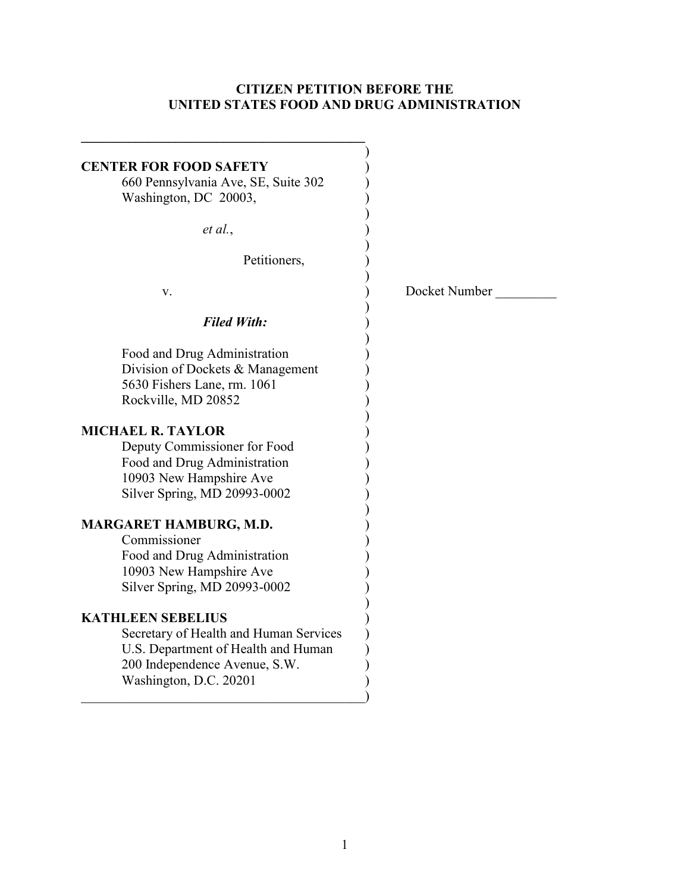### **CITIZEN PETITION BEFORE THE UNITED STATES FOOD AND DRUG ADMINISTRATION**

| <b>CENTER FOR FOOD SAFETY</b><br>660 Pennsylvania Ave, SE, Suite 302<br>Washington, DC 20003,                                                                        |               |
|----------------------------------------------------------------------------------------------------------------------------------------------------------------------|---------------|
| et al.,                                                                                                                                                              |               |
| Petitioners,                                                                                                                                                         |               |
| V.                                                                                                                                                                   | Docket Number |
| <b>Filed With:</b>                                                                                                                                                   |               |
| Food and Drug Administration<br>Division of Dockets & Management<br>5630 Fishers Lane, rm. 1061<br>Rockville, MD 20852<br><b>MICHAEL R. TAYLOR</b>                   |               |
| Deputy Commissioner for Food<br>Food and Drug Administration<br>10903 New Hampshire Ave<br>Silver Spring, MD 20993-0002                                              |               |
| MARGARET HAMBURG, M.D.<br>Commissioner<br>Food and Drug Administration<br>10903 New Hampshire Ave<br>Silver Spring, MD 20993-0002                                    |               |
| <b>KATHLEEN SEBELIUS</b><br>Secretary of Health and Human Services<br>U.S. Department of Health and Human<br>200 Independence Avenue, S.W.<br>Washington, D.C. 20201 |               |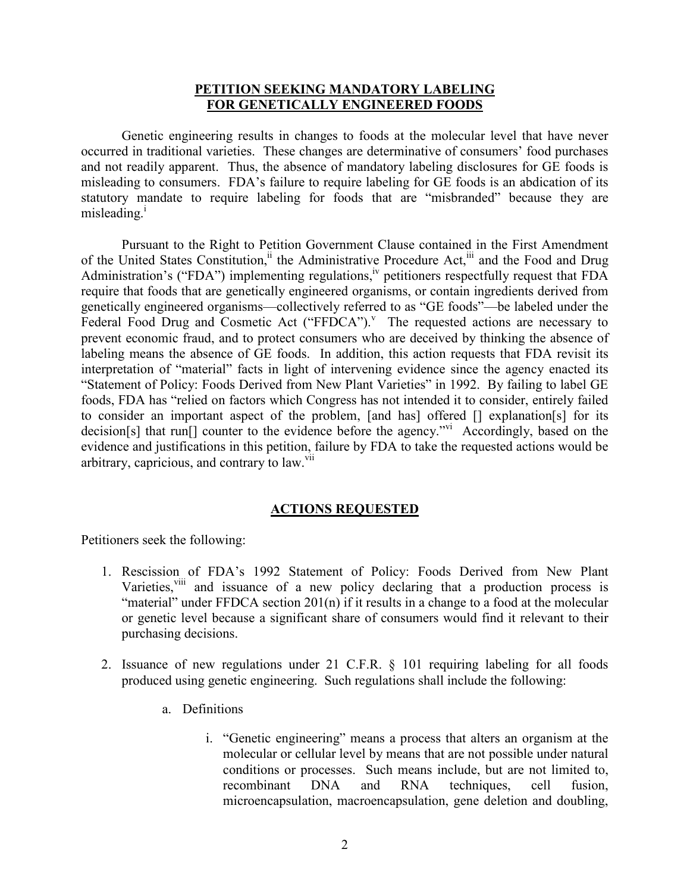#### **PETITION SEEKING MANDATORY LABELING FOR GENETICALLY ENGINEERED FOODS**

 Genetic engineering results in changes to foods at the molecular level that have never occurred in traditional varieties. These changes are determinative of consumers' food purchases and not readily apparent. Thus, the absence of mandatory labeling disclosures for GE foods is misleading to consumers. FDA's failure to require labeling for GE foods is an abdication of its statutory mandate to require labeling for foods that are "misbranded" because they are misleading.<sup>i</sup>

Pursuant to the Right to Petition Government Clause contained in the First Amendment of the United States Constitution,<sup>ii</sup> the Administrative Procedure Act,<sup>iii</sup> and the Food and Drug Administration's ("FDA") implementing regulations,<sup>iv</sup> petitioners respectfully request that FDA require that foods that are genetically engineered organisms, or contain ingredients derived from genetically engineered organisms—collectively referred to as "GE foods"—be labeled under the Federal Food Drug and Cosmetic Act ("FFDCA"). $V$  The requested actions are necessary to prevent economic fraud, and to protect consumers who are deceived by thinking the absence of labeling means the absence of GE foods. In addition, this action requests that FDA revisit its interpretation of "material" facts in light of intervening evidence since the agency enacted its "Statement of Policy: Foods Derived from New Plant Varieties" in 1992. By failing to label GE foods, FDA has "relied on factors which Congress has not intended it to consider, entirely failed to consider an important aspect of the problem, [and has] offered [] explanation[s] for its decision[s] that run[] counter to the evidence before the agency."<sup>vi</sup> Accordingly, based on the evidence and justifications in this petition, failure by FDA to take the requested actions would be arbitrary, capricious, and contrary to  $law$ .

#### **ACTIONS REQUESTED**

Petitioners seek the following:

- 1. Rescission of FDA's 1992 Statement of Policy: Foods Derived from New Plant Varieties,<sup>viii</sup> and issuance of a new policy declaring that a production process is "material" under FFDCA section 201(n) if it results in a change to a food at the molecular or genetic level because a significant share of consumers would find it relevant to their purchasing decisions.
- 2. Issuance of new regulations under 21 C.F.R. § 101 requiring labeling for all foods produced using genetic engineering. Such regulations shall include the following:
	- a. Definitions
		- i. "Genetic engineering" means a process that alters an organism at the molecular or cellular level by means that are not possible under natural conditions or processes. Such means include, but are not limited to, recombinant DNA and RNA techniques, cell fusion, microencapsulation, macroencapsulation, gene deletion and doubling,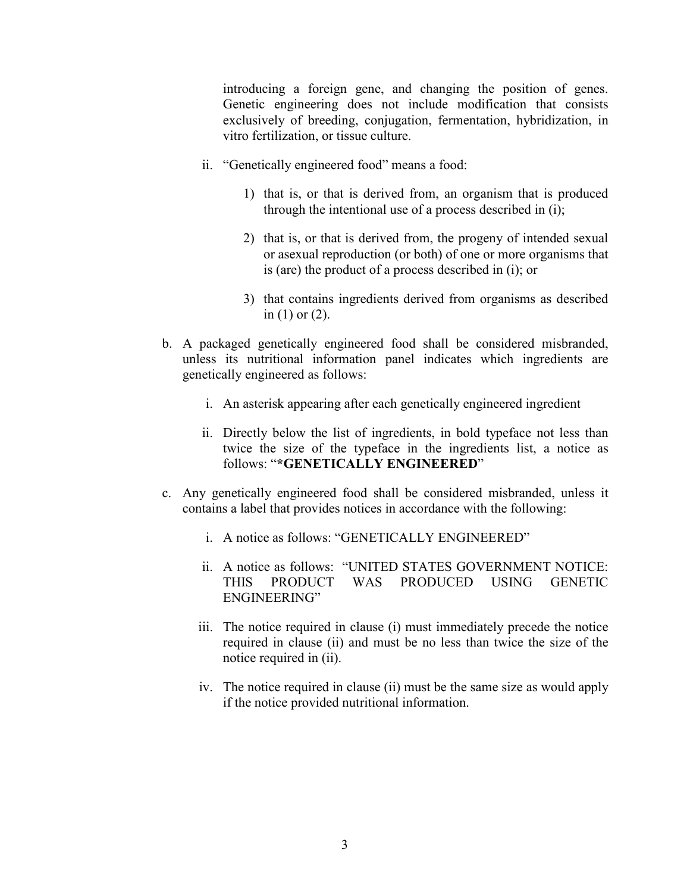introducing a foreign gene, and changing the position of genes. Genetic engineering does not include modification that consists exclusively of breeding, conjugation, fermentation, hybridization, in vitro fertilization, or tissue culture.

- ii. "Genetically engineered food" means a food:
	- 1) that is, or that is derived from, an organism that is produced through the intentional use of a process described in (i);
	- 2) that is, or that is derived from, the progeny of intended sexual or asexual reproduction (or both) of one or more organisms that is (are) the product of a process described in (i); or
	- 3) that contains ingredients derived from organisms as described in (1) or (2).
- b. A packaged genetically engineered food shall be considered misbranded, unless its nutritional information panel indicates which ingredients are genetically engineered as follows:
	- i. An asterisk appearing after each genetically engineered ingredient
	- ii. Directly below the list of ingredients, in bold typeface not less than twice the size of the typeface in the ingredients list, a notice as follows: "**\*GENETICALLY ENGINEERED**"
- c. Any genetically engineered food shall be considered misbranded, unless it contains a label that provides notices in accordance with the following:
	- i. A notice as follows: "GENETICALLY ENGINEERED"
	- ii. A notice as follows: "UNITED STATES GOVERNMENT NOTICE: THIS PRODUCT WAS PRODUCED USING GENETIC ENGINEERING"
	- iii. The notice required in clause (i) must immediately precede the notice required in clause (ii) and must be no less than twice the size of the notice required in (ii).
	- iv. The notice required in clause (ii) must be the same size as would apply if the notice provided nutritional information.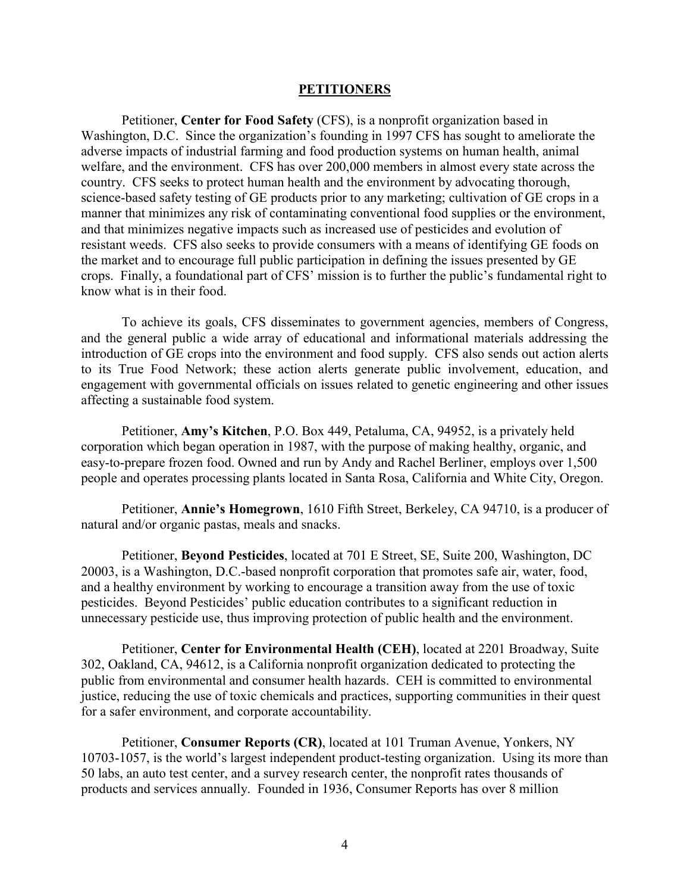#### **PETITIONERS**

Petitioner, **Center for Food Safety** (CFS), is a nonprofit organization based in Washington, D.C. Since the organization's founding in 1997 CFS has sought to ameliorate the adverse impacts of industrial farming and food production systems on human health, animal welfare, and the environment. CFS has over 200,000 members in almost every state across the country. CFS seeks to protect human health and the environment by advocating thorough, science-based safety testing of GE products prior to any marketing; cultivation of GE crops in a manner that minimizes any risk of contaminating conventional food supplies or the environment, and that minimizes negative impacts such as increased use of pesticides and evolution of resistant weeds. CFS also seeks to provide consumers with a means of identifying GE foods on the market and to encourage full public participation in defining the issues presented by GE crops. Finally, a foundational part of CFS' mission is to further the public's fundamental right to know what is in their food.

To achieve its goals, CFS disseminates to government agencies, members of Congress, and the general public a wide array of educational and informational materials addressing the introduction of GE crops into the environment and food supply. CFS also sends out action alerts to its True Food Network; these action alerts generate public involvement, education, and engagement with governmental officials on issues related to genetic engineering and other issues affecting a sustainable food system.

Petitioner, **Amy's Kitchen**, P.O. Box 449, Petaluma, CA, 94952, is a privately held corporation which began operation in 1987, with the purpose of making healthy, organic, and easy-to-prepare frozen food. Owned and run by Andy and Rachel Berliner, employs over 1,500 people and operates processing plants located in Santa Rosa, California and White City, Oregon.

Petitioner, **Annie's Homegrown**, 1610 Fifth Street, Berkeley, CA 94710, is a producer of natural and/or organic pastas, meals and snacks.

Petitioner, **Beyond Pesticides**, located at 701 E Street, SE, Suite 200, Washington, DC 20003, is a Washington, D.C.-based nonprofit corporation that promotes safe air, water, food, and a healthy environment by working to encourage a transition away from the use of toxic pesticides. Beyond Pesticides' public education contributes to a significant reduction in unnecessary pesticide use, thus improving protection of public health and the environment.

Petitioner, **Center for Environmental Health (CEH)**, located at 2201 Broadway, Suite 302, Oakland, CA, 94612, is a California nonprofit organization dedicated to protecting the public from environmental and consumer health hazards. CEH is committed to environmental justice, reducing the use of toxic chemicals and practices, supporting communities in their quest for a safer environment, and corporate accountability.

Petitioner, **Consumer Reports (CR)**, located at 101 Truman Avenue, Yonkers, NY 10703-1057, is the world's largest independent product-testing organization. Using its more than 50 labs, an auto test center, and a survey research center, the nonprofit rates thousands of products and services annually. Founded in 1936, Consumer Reports has over 8 million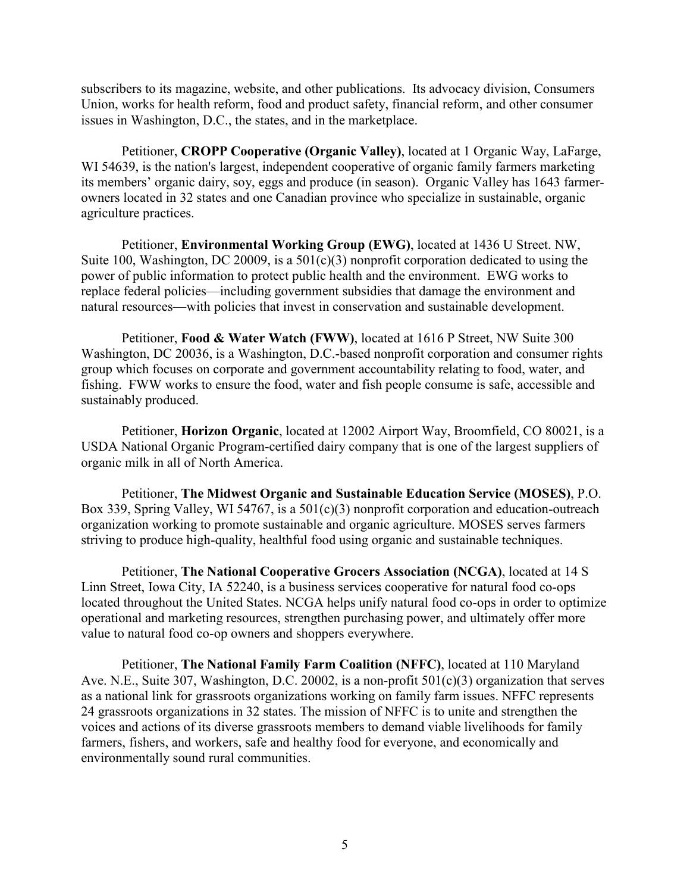subscribers to its magazine, website, and other publications. Its advocacy division, Consumers Union, works for health reform, food and product safety, financial reform, and other consumer issues in Washington, D.C., the states, and in the marketplace.

Petitioner, **CROPP Cooperative (Organic Valley)**, located at 1 Organic Way, LaFarge, WI 54639, is the nation's largest, independent cooperative of organic family farmers marketing its members' organic dairy, soy, eggs and produce (in season). Organic Valley has 1643 farmerowners located in 32 states and one Canadian province who specialize in sustainable, organic agriculture practices.

Petitioner, **Environmental Working Group (EWG)**, located at 1436 U Street. NW, Suite 100, Washington, DC 20009, is a 501(c)(3) nonprofit corporation dedicated to using the power of public information to protect public health and the environment. EWG works to replace federal policies—including government subsidies that damage the environment and natural resources—with policies that invest in conservation and sustainable development.

Petitioner, **Food & Water Watch (FWW)**, located at 1616 P Street, NW Suite 300 Washington, DC 20036, is a Washington, D.C.-based nonprofit corporation and consumer rights group which focuses on corporate and government accountability relating to food, water, and fishing. FWW works to ensure the food, water and fish people consume is safe, accessible and sustainably produced.

Petitioner, **Horizon Organic**, located at 12002 Airport Way, Broomfield, CO 80021, is a USDA National Organic Program-certified dairy company that is one of the largest suppliers of organic milk in all of North America.

Petitioner, **The Midwest Organic and Sustainable Education Service (MOSES)**, P.O. Box 339, Spring Valley, WI 54767, is a 501(c)(3) nonprofit corporation and education-outreach organization working to promote sustainable and organic agriculture. MOSES serves farmers striving to produce high-quality, healthful food using organic and sustainable techniques.

Petitioner, **The National Cooperative Grocers Association (NCGA)**, located at 14 S Linn Street, Iowa City, IA 52240, is a business services cooperative for natural food co-ops located throughout the United States. NCGA helps unify natural food co-ops in order to optimize operational and marketing resources, strengthen purchasing power, and ultimately offer more value to natural food co-op owners and shoppers everywhere.

Petitioner, **The National Family Farm Coalition (NFFC)**, located at 110 Maryland Ave. N.E., Suite 307, Washington, D.C. 20002, is a non-profit 501(c)(3) organization that serves as a national link for grassroots organizations working on family farm issues. NFFC represents 24 grassroots organizations in 32 states. The mission of NFFC is to unite and strengthen the voices and actions of its diverse grassroots members to demand viable livelihoods for family farmers, fishers, and workers, safe and healthy food for everyone, and economically and environmentally sound rural communities.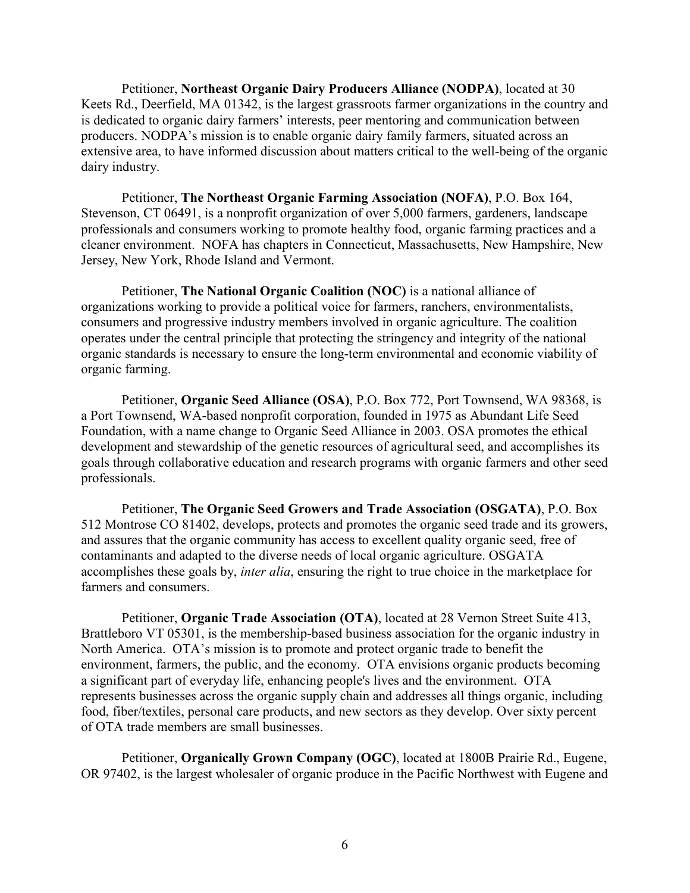Petitioner, **Northeast Organic Dairy Producers Alliance (NODPA)**, located at 30 Keets Rd., Deerfield, MA 01342, is the largest grassroots farmer organizations in the country and is dedicated to organic dairy farmers' interests, peer mentoring and communication between producers. NODPA's mission is to enable organic dairy family farmers, situated across an extensive area, to have informed discussion about matters critical to the well-being of the organic dairy industry.

Petitioner, **The Northeast Organic Farming Association (NOFA)**, P.O. Box 164, Stevenson, CT 06491, is a nonprofit organization of over 5,000 farmers, gardeners, landscape professionals and consumers working to promote healthy food, organic farming practices and a cleaner environment. NOFA has chapters in Connecticut, Massachusetts, New Hampshire, New Jersey, New York, Rhode Island and Vermont.

Petitioner, **The National Organic Coalition (NOC)** is a national alliance of organizations working to provide a political voice for farmers, ranchers, environmentalists, consumers and progressive industry members involved in organic agriculture. The coalition operates under the central principle that protecting the stringency and integrity of the national organic standards is necessary to ensure the long-term environmental and economic viability of organic farming.

Petitioner, **Organic Seed Alliance (OSA)**, P.O. Box 772, Port Townsend, WA 98368, is a Port Townsend, WA-based nonprofit corporation, founded in 1975 as Abundant Life Seed Foundation, with a name change to Organic Seed Alliance in 2003. OSA promotes the ethical development and stewardship of the genetic resources of agricultural seed, and accomplishes its goals through collaborative education and research programs with organic farmers and other seed professionals.

Petitioner, **The Organic Seed Growers and Trade Association (OSGATA)**, P.O. Box 512 Montrose CO 81402, develops, protects and promotes the organic seed trade and its growers, and assures that the organic community has access to excellent quality organic seed, free of contaminants and adapted to the diverse needs of local organic agriculture. OSGATA accomplishes these goals by, *inter alia*, ensuring the right to true choice in the marketplace for farmers and consumers.

Petitioner, **Organic Trade Association (OTA)**, located at 28 Vernon Street Suite 413, Brattleboro VT 05301, is the membership-based business association for the organic industry in North America. OTA's mission is to promote and protect organic trade to benefit the environment, farmers, the public, and the economy. OTA envisions organic products becoming a significant part of everyday life, enhancing people's lives and the environment. OTA represents businesses across the organic supply chain and addresses all things organic, including food, fiber/textiles, personal care products, and new sectors as they develop. Over sixty percent of OTA trade members are small businesses.

Petitioner, **Organically Grown Company (OGC)**, located at 1800B Prairie Rd., Eugene, OR 97402, is the largest wholesaler of organic produce in the Pacific Northwest with Eugene and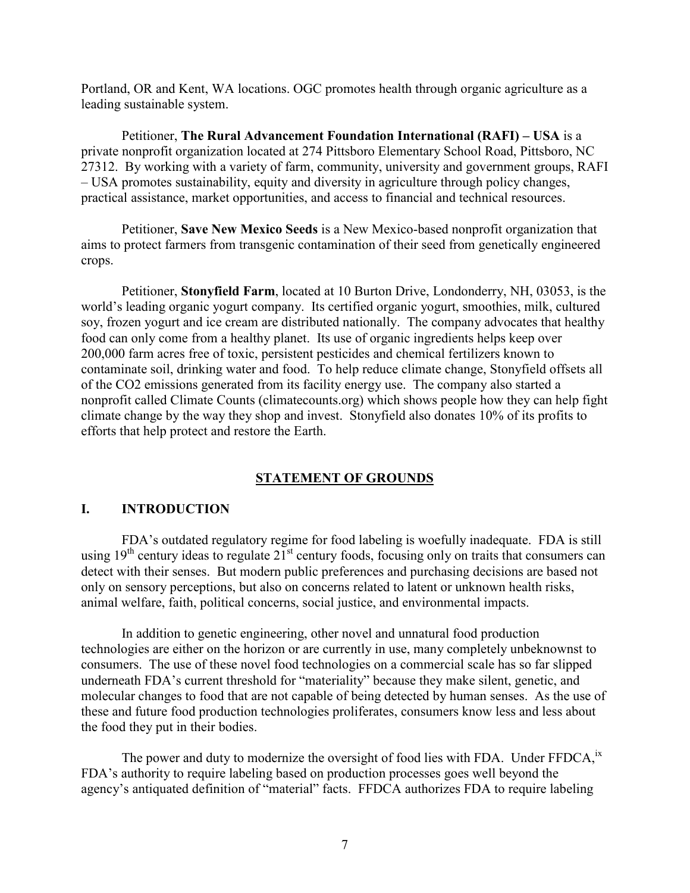Portland, OR and Kent, WA locations. OGC promotes health through organic agriculture as a leading sustainable system.

Petitioner, **The Rural Advancement Foundation International (RAFI) – USA** is a private nonprofit organization located at 274 Pittsboro Elementary School Road, Pittsboro, NC 27312. By working with a variety of farm, community, university and government groups, RAFI – USA promotes sustainability, equity and diversity in agriculture through policy changes, practical assistance, market opportunities, and access to financial and technical resources.

Petitioner, **Save New Mexico Seeds** is a New Mexico-based nonprofit organization that aims to protect farmers from transgenic contamination of their seed from genetically engineered crops.

Petitioner, **Stonyfield Farm**, located at 10 Burton Drive, Londonderry, NH, 03053, is the world's leading organic yogurt company. Its certified organic yogurt, smoothies, milk, cultured soy, frozen yogurt and ice cream are distributed nationally. The company advocates that healthy food can only come from a healthy planet. Its use of organic ingredients helps keep over 200,000 farm acres free of toxic, persistent pesticides and chemical fertilizers known to contaminate soil, drinking water and food. To help reduce climate change, Stonyfield offsets all of the CO2 emissions generated from its facility energy use. The company also started a nonprofit called Climate Counts (climatecounts.org) which shows people how they can help fight climate change by the way they shop and invest. Stonyfield also donates 10% of its profits to efforts that help protect and restore the Earth.

# **STATEMENT OF GROUNDS**

### **I. INTRODUCTION**

FDA's outdated regulatory regime for food labeling is woefully inadequate. FDA is still using  $19<sup>th</sup>$  century ideas to regulate  $21<sup>st</sup>$  century foods, focusing only on traits that consumers can detect with their senses. But modern public preferences and purchasing decisions are based not only on sensory perceptions, but also on concerns related to latent or unknown health risks, animal welfare, faith, political concerns, social justice, and environmental impacts.

In addition to genetic engineering, other novel and unnatural food production technologies are either on the horizon or are currently in use, many completely unbeknownst to consumers. The use of these novel food technologies on a commercial scale has so far slipped underneath FDA's current threshold for "materiality" because they make silent, genetic, and molecular changes to food that are not capable of being detected by human senses. As the use of these and future food production technologies proliferates, consumers know less and less about the food they put in their bodies.

The power and duty to modernize the oversight of food lies with FDA. Under FFDCA, <sup>ix</sup> FDA's authority to require labeling based on production processes goes well beyond the agency's antiquated definition of "material" facts. FFDCA authorizes FDA to require labeling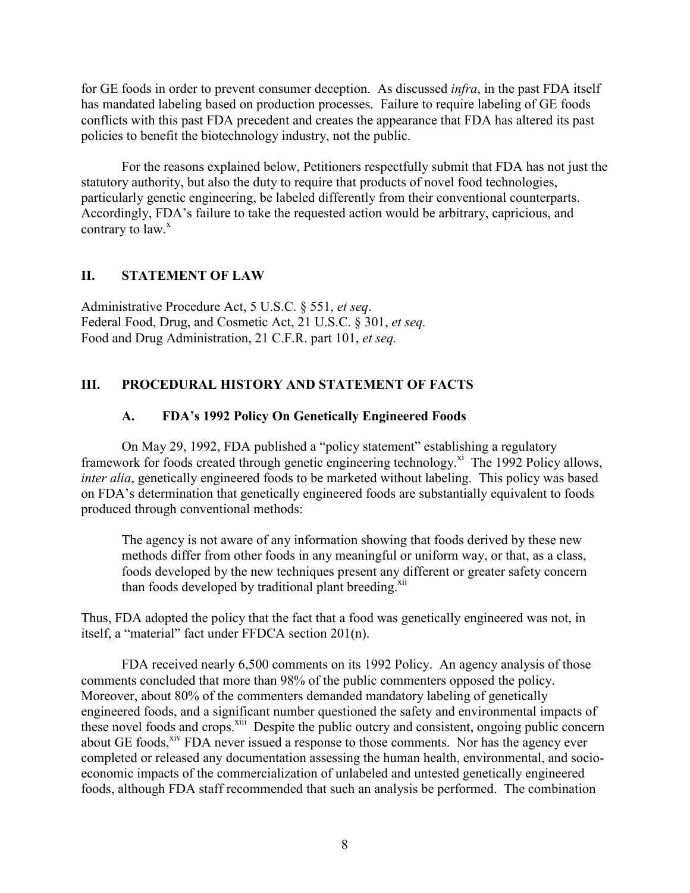for GE foods in order to prevent consumer deception. As discussed *infra*, in the past FDA itself has mandated labeling based on production processes. Failure to require labeling of GE foods conflicts with this past FDA precedent and creates the appearance that FDA has altered its past policies to benefit the biotechnology industry, not the public.

For the reasons explained below, Petitioners respectfully submit that FDA has not just the statutory authority, but also the duty to require that products of novel food technologies, particularly genetic engineering, be labeled differently from their conventional counterparts. Accordingly, FDA's failure to take the requested action would be arbitrary, capricious, and contrary to  $law<sup>x</sup>$ .

## **II. STATEMENT OF LAW**

Administrative Procedure Act, 5 U.S.C. § 551, *et seq*. Federal Food, Drug, and Cosmetic Act, 21 U.S.C. § 301, *et seq.* Food and Drug Administration, 21 C.F.R. part 101, *et seq.*

# **III. PROCEDURAL HISTORY AND STATEMENT OF FACTS**

# **A. FDA's 1992 Policy On Genetically Engineered Foods**

On May 29, 1992, FDA published a "policy statement" establishing a regulatory framework for foods created through genetic engineering technology.<sup>xi</sup> The 1992 Policy allows, *inter alia*, genetically engineered foods to be marketed without labeling. This policy was based on FDA's determination that genetically engineered foods are substantially equivalent to foods produced through conventional methods:

The agency is not aware of any information showing that foods derived by these new methods differ from other foods in any meaningful or uniform way, or that, as a class, foods developed by the new techniques present any different or greater safety concern than foods developed by traditional plant breeding.<sup>xii</sup>

Thus, FDA adopted the policy that the fact that a food was genetically engineered was not, in itself, a "material" fact under FFDCA section 201(n).

FDA received nearly 6,500 comments on its 1992 Policy. An agency analysis of those comments concluded that more than 98% of the public commenters opposed the policy. Moreover, about 80% of the commenters demanded mandatory labeling of genetically engineered foods, and a significant number questioned the safety and environmental impacts of these novel foods and crops.<sup>xiii</sup> Despite the public outcry and consistent, ongoing public concern about GE foods,<sup>xiv</sup> FDA never issued a response to those comments. Nor has the agency ever completed or released any documentation assessing the human health, environmental, and socioeconomic impacts of the commercialization of unlabeled and untested genetically engineered foods, although FDA staff recommended that such an analysis be performed. The combination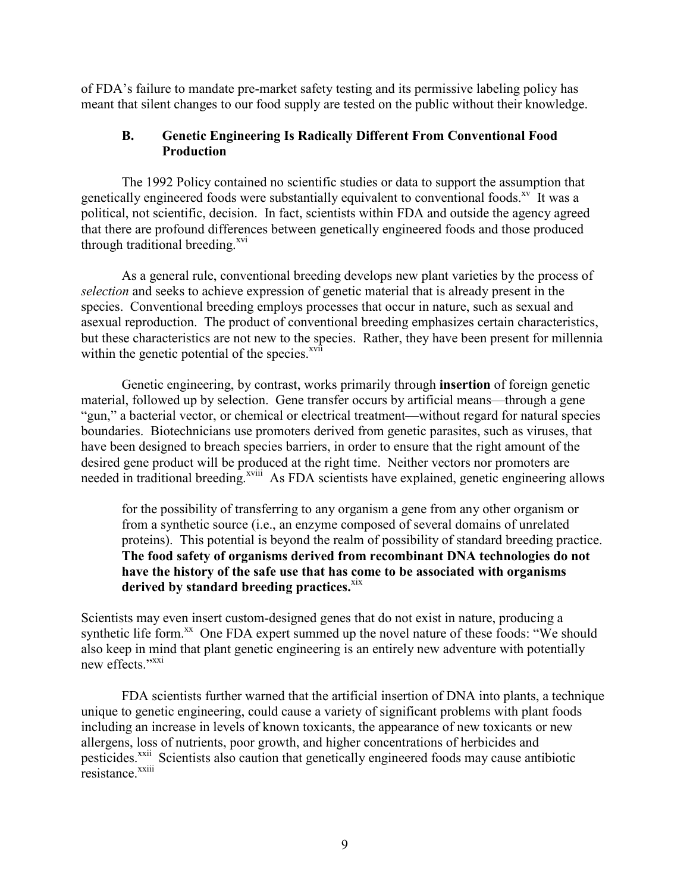of FDA's failure to mandate pre-market safety testing and its permissive labeling policy has meant that silent changes to our food supply are tested on the public without their knowledge.

### **B. Genetic Engineering Is Radically Different From Conventional Food Production**

The 1992 Policy contained no scientific studies or data to support the assumption that genetically engineered foods were substantially equivalent to conventional foods.<sup>xv</sup> It was a political, not scientific, decision. In fact, scientists within FDA and outside the agency agreed that there are profound differences between genetically engineered foods and those produced through traditional breeding. $^{xvi}$ 

As a general rule, conventional breeding develops new plant varieties by the process of *selection* and seeks to achieve expression of genetic material that is already present in the species. Conventional breeding employs processes that occur in nature, such as sexual and asexual reproduction. The product of conventional breeding emphasizes certain characteristics, but these characteristics are not new to the species. Rather, they have been present for millennia within the genetic potential of the species. $\frac{xy}{ }$ 

Genetic engineering, by contrast, works primarily through **insertion** of foreign genetic material, followed up by selection. Gene transfer occurs by artificial means—through a gene "gun," a bacterial vector, or chemical or electrical treatment—without regard for natural species boundaries. Biotechnicians use promoters derived from genetic parasites, such as viruses, that have been designed to breach species barriers, in order to ensure that the right amount of the desired gene product will be produced at the right time. Neither vectors nor promoters are needed in traditional breeding.<sup>xviii</sup> As FDA scientists have explained, genetic engineering allows

for the possibility of transferring to any organism a gene from any other organism or from a synthetic source (i.e., an enzyme composed of several domains of unrelated proteins). This potential is beyond the realm of possibility of standard breeding practice. **The food safety of organisms derived from recombinant DNA technologies do not have the history of the safe use that has come to be associated with organisms**  derived by standard breeding practices.<sup>xix</sup>

Scientists may even insert custom-designed genes that do not exist in nature, producing a synthetic life form.<sup>xx</sup> One FDA expert summed up the novel nature of these foods: "We should also keep in mind that plant genetic engineering is an entirely new adventure with potentially new effects<sup>"xxi</sup>

FDA scientists further warned that the artificial insertion of DNA into plants, a technique unique to genetic engineering, could cause a variety of significant problems with plant foods including an increase in levels of known toxicants, the appearance of new toxicants or new allergens, loss of nutrients, poor growth, and higher concentrations of herbicides and pesticides.<sup>xxii</sup> Scientists also caution that genetically engineered foods may cause antibiotic resistance.<sup>xxiii</sup>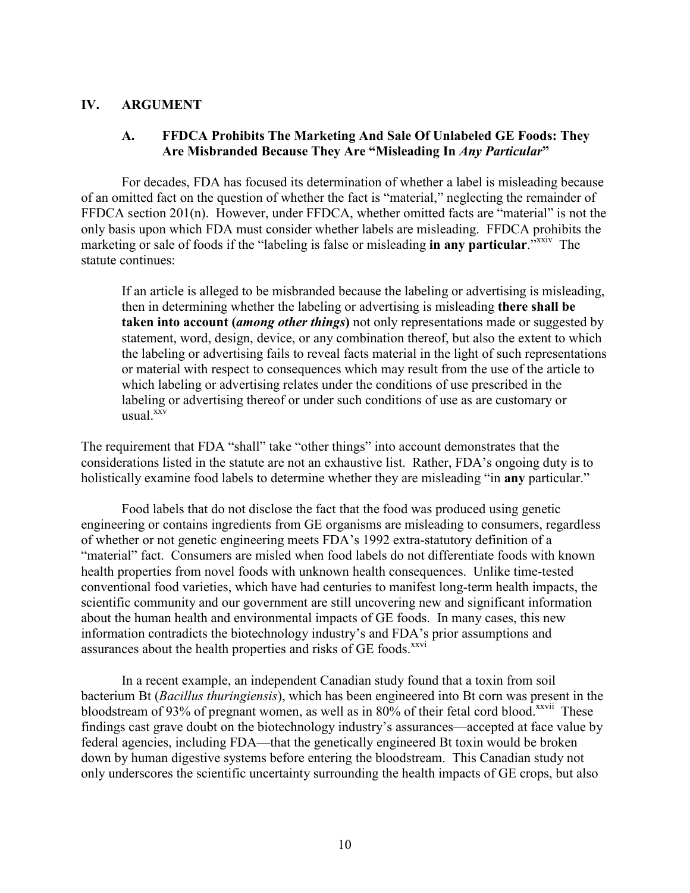#### **IV. ARGUMENT**

### **A. FFDCA Prohibits The Marketing And Sale Of Unlabeled GE Foods: They Are Misbranded Because They Are "Misleading In** *Any Particular***"**

For decades, FDA has focused its determination of whether a label is misleading because of an omitted fact on the question of whether the fact is "material," neglecting the remainder of FFDCA section 201(n). However, under FFDCA, whether omitted facts are "material" is not the only basis upon which FDA must consider whether labels are misleading. FFDCA prohibits the marketing or sale of foods if the "labeling is false or misleading **in any particular**."<sup>xxxiv</sup> The statute continues:

If an article is alleged to be misbranded because the labeling or advertising is misleading, then in determining whether the labeling or advertising is misleading **there shall be taken into account (***among other things***)** not only representations made or suggested by statement, word, design, device, or any combination thereof, but also the extent to which the labeling or advertising fails to reveal facts material in the light of such representations or material with respect to consequences which may result from the use of the article to which labeling or advertising relates under the conditions of use prescribed in the labeling or advertising thereof or under such conditions of use as are customary or usual. $\frac{xxv}{x}$ 

The requirement that FDA "shall" take "other things" into account demonstrates that the considerations listed in the statute are not an exhaustive list. Rather, FDA's ongoing duty is to holistically examine food labels to determine whether they are misleading "in **any** particular."

Food labels that do not disclose the fact that the food was produced using genetic engineering or contains ingredients from GE organisms are misleading to consumers, regardless of whether or not genetic engineering meets FDA's 1992 extra-statutory definition of a "material" fact. Consumers are misled when food labels do not differentiate foods with known health properties from novel foods with unknown health consequences. Unlike time-tested conventional food varieties, which have had centuries to manifest long-term health impacts, the scientific community and our government are still uncovering new and significant information about the human health and environmental impacts of GE foods. In many cases, this new information contradicts the biotechnology industry's and FDA's prior assumptions and assurances about the health properties and risks of GE foods.<sup>xxvi</sup>

In a recent example, an independent Canadian study found that a toxin from soil bacterium Bt (*Bacillus thuringiensis*), which has been engineered into Bt corn was present in the bloodstream of 93% of pregnant women, as well as in 80% of their fetal cord blood.<sup>xxvii</sup> These findings cast grave doubt on the biotechnology industry's assurances—accepted at face value by federal agencies, including FDA—that the genetically engineered Bt toxin would be broken down by human digestive systems before entering the bloodstream. This Canadian study not only underscores the scientific uncertainty surrounding the health impacts of GE crops, but also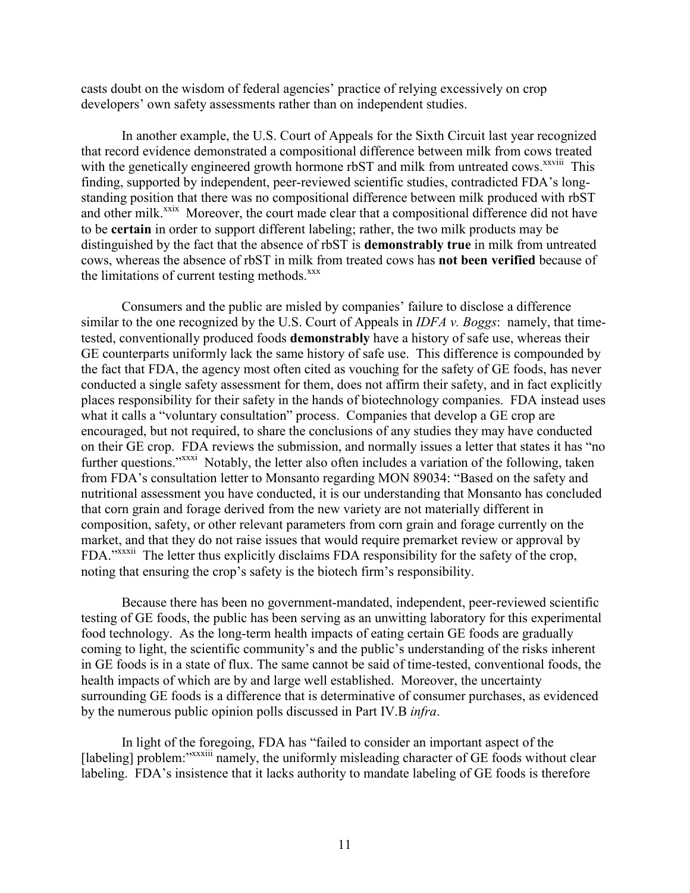casts doubt on the wisdom of federal agencies' practice of relying excessively on crop developers' own safety assessments rather than on independent studies.

In another example, the U.S. Court of Appeals for the Sixth Circuit last year recognized that record evidence demonstrated a compositional difference between milk from cows treated with the genetically engineered growth hormone rbST and milk from untreated cows.<sup>xxviii</sup> This finding, supported by independent, peer-reviewed scientific studies, contradicted FDA's longstanding position that there was no compositional difference between milk produced with rbST and other milk.<sup>xxix</sup> Moreover, the court made clear that a compositional difference did not have to be **certain** in order to support different labeling; rather, the two milk products may be distinguished by the fact that the absence of rbST is **demonstrably true** in milk from untreated cows, whereas the absence of rbST in milk from treated cows has **not been verified** because of the limitations of current testing methods. $\frac{xx}{x}$ 

Consumers and the public are misled by companies' failure to disclose a difference similar to the one recognized by the U.S. Court of Appeals in *IDFA v. Boggs*: namely, that timetested, conventionally produced foods **demonstrably** have a history of safe use, whereas their GE counterparts uniformly lack the same history of safe use. This difference is compounded by the fact that FDA, the agency most often cited as vouching for the safety of GE foods, has never conducted a single safety assessment for them, does not affirm their safety, and in fact explicitly places responsibility for their safety in the hands of biotechnology companies. FDA instead uses what it calls a "voluntary consultation" process. Companies that develop a GE crop are encouraged, but not required, to share the conclusions of any studies they may have conducted on their GE crop. FDA reviews the submission, and normally issues a letter that states it has "no further questions."<sup>XXXI</sup> Notably, the letter also often includes a variation of the following, taken from FDA's consultation letter to Monsanto regarding MON 89034: "Based on the safety and nutritional assessment you have conducted, it is our understanding that Monsanto has concluded that corn grain and forage derived from the new variety are not materially different in composition, safety, or other relevant parameters from corn grain and forage currently on the market, and that they do not raise issues that would require premarket review or approval by FDA."<sup>xxxii</sup> The letter thus explicitly disclaims FDA responsibility for the safety of the crop, noting that ensuring the crop's safety is the biotech firm's responsibility.

Because there has been no government-mandated, independent, peer-reviewed scientific testing of GE foods, the public has been serving as an unwitting laboratory for this experimental food technology. As the long-term health impacts of eating certain GE foods are gradually coming to light, the scientific community's and the public's understanding of the risks inherent in GE foods is in a state of flux. The same cannot be said of time-tested, conventional foods, the health impacts of which are by and large well established. Moreover, the uncertainty surrounding GE foods is a difference that is determinative of consumer purchases, as evidenced by the numerous public opinion polls discussed in Part IV.B *infra*.

In light of the foregoing, FDA has "failed to consider an important aspect of the [labeling] problem:"xxxiii namely, the uniformly misleading character of GE foods without clear labeling. FDA's insistence that it lacks authority to mandate labeling of GE foods is therefore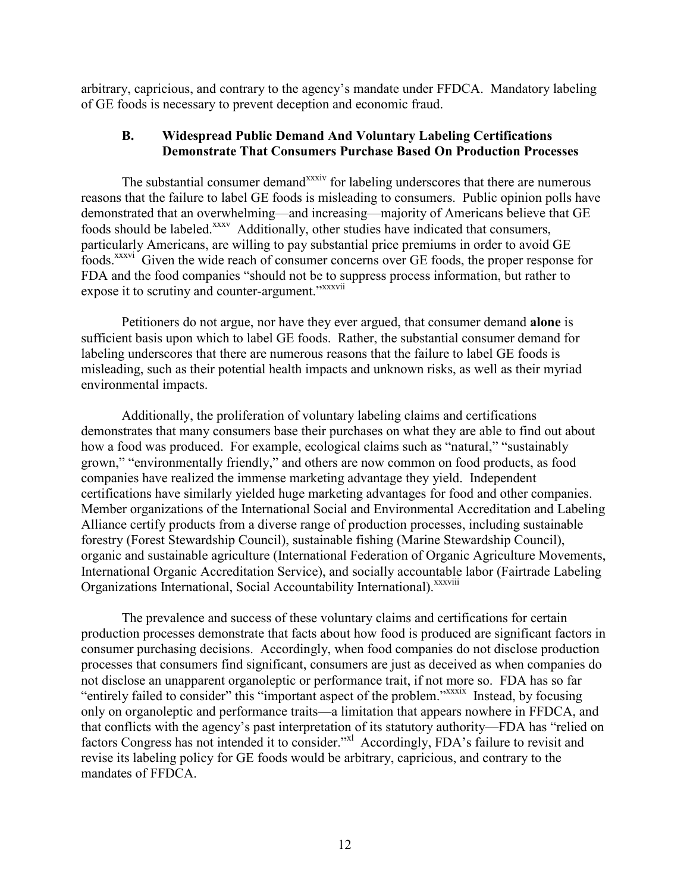arbitrary, capricious, and contrary to the agency's mandate under FFDCA. Mandatory labeling of GE foods is necessary to prevent deception and economic fraud.

### **B. Widespread Public Demand And Voluntary Labeling Certifications Demonstrate That Consumers Purchase Based On Production Processes**

The substantial consumer demand<sup>xxxiv</sup> for labeling underscores that there are numerous reasons that the failure to label GE foods is misleading to consumers. Public opinion polls have demonstrated that an overwhelming—and increasing—majority of Americans believe that GE foods should be labeled.<sup>xxxv</sup> Additionally, other studies have indicated that consumers, particularly Americans, are willing to pay substantial price premiums in order to avoid GE foods.xxxvi Given the wide reach of consumer concerns over GE foods, the proper response for FDA and the food companies "should not be to suppress process information, but rather to expose it to scrutiny and counter-argument." xxxvii

Petitioners do not argue, nor have they ever argued, that consumer demand **alone** is sufficient basis upon which to label GE foods. Rather, the substantial consumer demand for labeling underscores that there are numerous reasons that the failure to label GE foods is misleading, such as their potential health impacts and unknown risks, as well as their myriad environmental impacts.

Additionally, the proliferation of voluntary labeling claims and certifications demonstrates that many consumers base their purchases on what they are able to find out about how a food was produced. For example, ecological claims such as "natural," "sustainably grown," "environmentally friendly," and others are now common on food products, as food companies have realized the immense marketing advantage they yield. Independent certifications have similarly yielded huge marketing advantages for food and other companies. Member organizations of the International Social and Environmental Accreditation and Labeling Alliance certify products from a diverse range of production processes, including sustainable forestry (Forest Stewardship Council), sustainable fishing (Marine Stewardship Council), organic and sustainable agriculture (International Federation of Organic Agriculture Movements, International Organic Accreditation Service), and socially accountable labor (Fairtrade Labeling Organizations International, Social Accountability International). XXXViii

The prevalence and success of these voluntary claims and certifications for certain production processes demonstrate that facts about how food is produced are significant factors in consumer purchasing decisions. Accordingly, when food companies do not disclose production processes that consumers find significant, consumers are just as deceived as when companies do not disclose an unapparent organoleptic or performance trait, if not more so. FDA has so far "entirely failed to consider" this "important aspect of the problem."xxxix Instead, by focusing only on organoleptic and performance traits—a limitation that appears nowhere in FFDCA, and that conflicts with the agency's past interpretation of its statutory authority—FDA has "relied on factors Congress has not intended it to consider."<sup>xl</sup> Accordingly, FDA's failure to revisit and revise its labeling policy for GE foods would be arbitrary, capricious, and contrary to the mandates of FFDCA.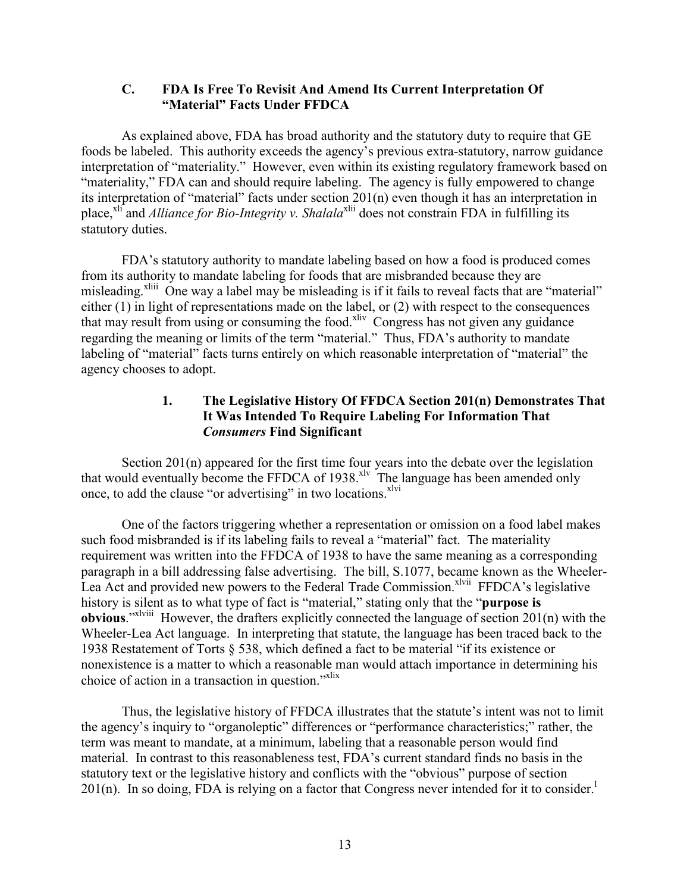#### **C. FDA Is Free To Revisit And Amend Its Current Interpretation Of "Material" Facts Under FFDCA**

 As explained above, FDA has broad authority and the statutory duty to require that GE foods be labeled. This authority exceeds the agency's previous extra-statutory, narrow guidance interpretation of "materiality." However, even within its existing regulatory framework based on "materiality," FDA can and should require labeling. The agency is fully empowered to change its interpretation of "material" facts under section 201(n) even though it has an interpretation in place,<sup>xli</sup> and *Alliance for Bio-Integrity v. Shalala*<sup>xlii</sup> does not constrain FDA in fulfilling its statutory duties.

FDA's statutory authority to mandate labeling based on how a food is produced comes from its authority to mandate labeling for foods that are misbranded because they are misleading.<sup>xliii</sup> One way a label may be misleading is if it fails to reveal facts that are "material" either (1) in light of representations made on the label, or (2) with respect to the consequences that may result from using or consuming the food.<sup>xliv</sup> Congress has not given any guidance regarding the meaning or limits of the term "material." Thus, FDA's authority to mandate labeling of "material" facts turns entirely on which reasonable interpretation of "material" the agency chooses to adopt.

### **1. The Legislative History Of FFDCA Section 201(n) Demonstrates That It Was Intended To Require Labeling For Information That**  *Consumers* **Find Significant**

Section 201(n) appeared for the first time four years into the debate over the legislation that would eventually become the FFDCA of 1938.<sup>xlv</sup> The language has been amended only once, to add the clause "or advertising" in two locations.<sup>xlvi</sup>

One of the factors triggering whether a representation or omission on a food label makes such food misbranded is if its labeling fails to reveal a "material" fact. The materiality requirement was written into the FFDCA of 1938 to have the same meaning as a corresponding paragraph in a bill addressing false advertising. The bill, S.1077, became known as the Wheeler-Lea Act and provided new powers to the Federal Trade Commission.<sup>xlvii</sup> FFDCA's legislative history is silent as to what type of fact is "material," stating only that the "**purpose is obvious**."xlviii However, the drafters explicitly connected the language of section 201(n) with the Wheeler-Lea Act language. In interpreting that statute, the language has been traced back to the 1938 Restatement of Torts § 538, which defined a fact to be material "if its existence or nonexistence is a matter to which a reasonable man would attach importance in determining his choice of action in a transaction in question."<sup>xlix</sup>

Thus, the legislative history of FFDCA illustrates that the statute's intent was not to limit the agency's inquiry to "organoleptic" differences or "performance characteristics;" rather, the term was meant to mandate, at a minimum, labeling that a reasonable person would find material. In contrast to this reasonableness test, FDA's current standard finds no basis in the statutory text or the legislative history and conflicts with the "obvious" purpose of section  $201(n)$ . In so doing, FDA is relying on a factor that Congress never intended for it to consider.<sup>1</sup>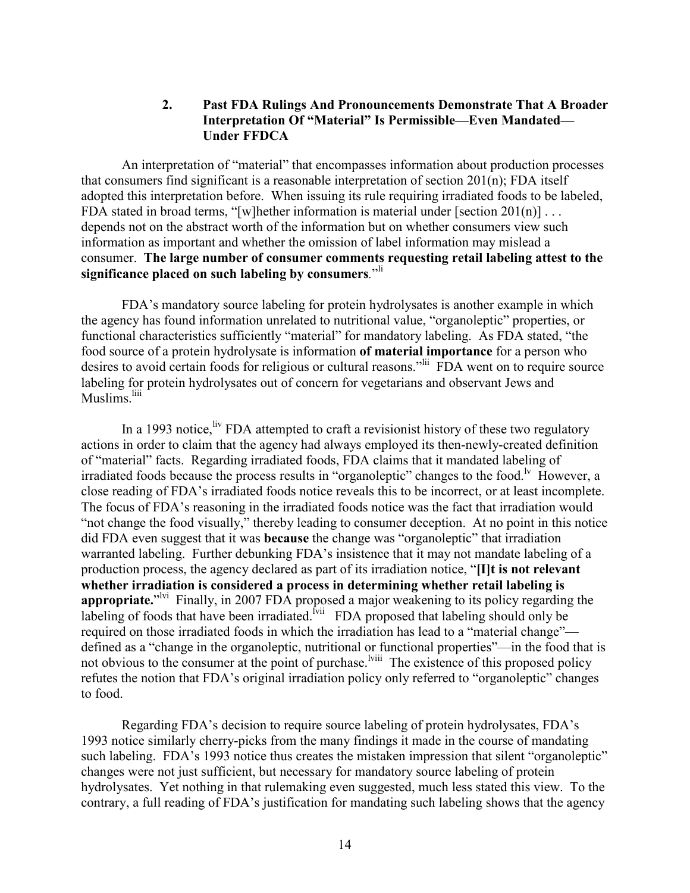#### **2. Past FDA Rulings And Pronouncements Demonstrate That A Broader Interpretation Of "Material" Is Permissible—Even Mandated— Under FFDCA**

An interpretation of "material" that encompasses information about production processes that consumers find significant is a reasonable interpretation of section 201(n); FDA itself adopted this interpretation before. When issuing its rule requiring irradiated foods to be labeled, FDA stated in broad terms, "[w]hether information is material under [section 201(n)]... depends not on the abstract worth of the information but on whether consumers view such information as important and whether the omission of label information may mislead a consumer. **The large number of consumer comments requesting retail labeling attest to the significance placed on such labeling by consumers***.*" li

FDA's mandatory source labeling for protein hydrolysates is another example in which the agency has found information unrelated to nutritional value, "organoleptic" properties, or functional characteristics sufficiently "material" for mandatory labeling. As FDA stated, "the food source of a protein hydrolysate is information **of material importance** for a person who desires to avoid certain foods for religious or cultural reasons.<sup>"lii</sup> FDA went on to require source labeling for protein hydrolysates out of concern for vegetarians and observant Jews and Muslims.<sup>liii</sup>

In a 1993 notice,  $\frac{div}{dv}$  FDA attempted to craft a revisionist history of these two regulatory actions in order to claim that the agency had always employed its then-newly-created definition of "material" facts. Regarding irradiated foods, FDA claims that it mandated labeling of irradiated foods because the process results in "organoleptic" changes to the food.<sup> $\nu$ </sup> However, a close reading of FDA's irradiated foods notice reveals this to be incorrect, or at least incomplete. The focus of FDA's reasoning in the irradiated foods notice was the fact that irradiation would "not change the food visually," thereby leading to consumer deception. At no point in this notice did FDA even suggest that it was **because** the change was "organoleptic" that irradiation warranted labeling. Further debunking FDA's insistence that it may not mandate labeling of a production process, the agency declared as part of its irradiation notice, "**[I]t is not relevant whether irradiation is considered a process in determining whether retail labeling is**  appropriate."<sup>Ivi</sup> Finally, in 2007 FDA proposed a major weakening to its policy regarding the labeling of foods that have been irradiated.<sup>[vii</sup> FDA proposed that labeling should only be required on those irradiated foods in which the irradiation has lead to a "material change" defined as a "change in the organoleptic, nutritional or functional properties"—in the food that is not obvious to the consumer at the point of purchase.<sup>lviii</sup> The existence of this proposed policy refutes the notion that FDA's original irradiation policy only referred to "organoleptic" changes to food.

Regarding FDA's decision to require source labeling of protein hydrolysates, FDA's 1993 notice similarly cherry-picks from the many findings it made in the course of mandating such labeling. FDA's 1993 notice thus creates the mistaken impression that silent "organoleptic" changes were not just sufficient, but necessary for mandatory source labeling of protein hydrolysates. Yet nothing in that rulemaking even suggested, much less stated this view. To the contrary, a full reading of FDA's justification for mandating such labeling shows that the agency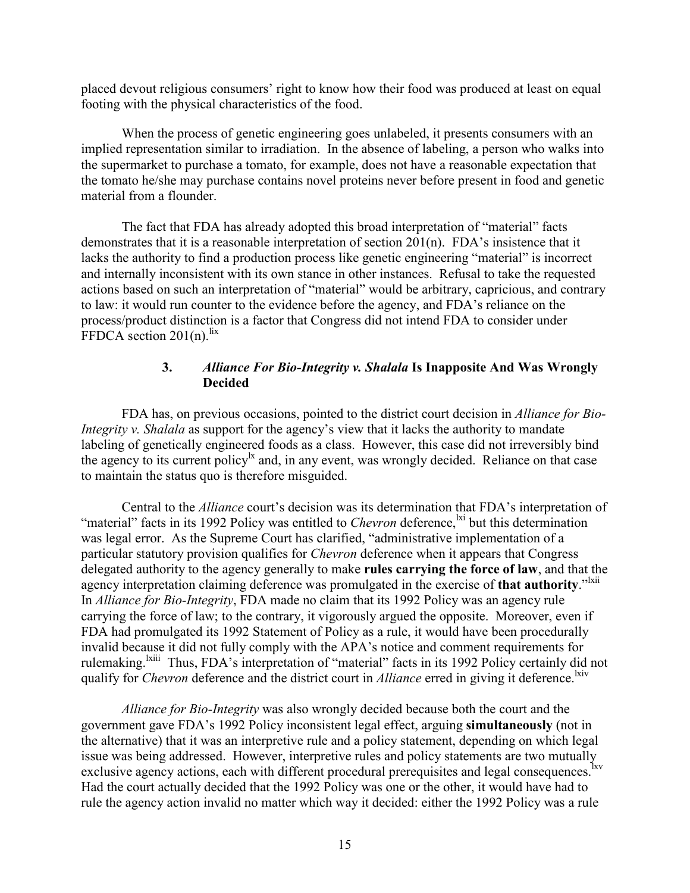placed devout religious consumers' right to know how their food was produced at least on equal footing with the physical characteristics of the food.

When the process of genetic engineering goes unlabeled, it presents consumers with an implied representation similar to irradiation. In the absence of labeling, a person who walks into the supermarket to purchase a tomato, for example, does not have a reasonable expectation that the tomato he/she may purchase contains novel proteins never before present in food and genetic material from a flounder.

The fact that FDA has already adopted this broad interpretation of "material" facts demonstrates that it is a reasonable interpretation of section 201(n). FDA's insistence that it lacks the authority to find a production process like genetic engineering "material" is incorrect and internally inconsistent with its own stance in other instances. Refusal to take the requested actions based on such an interpretation of "material" would be arbitrary, capricious, and contrary to law: it would run counter to the evidence before the agency, and FDA's reliance on the process/product distinction is a factor that Congress did not intend FDA to consider under FFDCA section  $201(n)$ .<sup>lix</sup>

### **3.** *Alliance For Bio-Integrity v. Shalala* **Is Inapposite And Was Wrongly Decided**

FDA has, on previous occasions, pointed to the district court decision in *Alliance for Bio-Integrity v. Shalala* as support for the agency's view that it lacks the authority to mandate labeling of genetically engineered foods as a class. However, this case did not irreversibly bind the agency to its current policy<sup>lx</sup> and, in any event, was wrongly decided. Reliance on that case to maintain the status quo is therefore misguided.

Central to the *Alliance* court's decision was its determination that FDA's interpretation of "material" facts in its 1992 Policy was entitled to *Chevron* deference,<sup>1xi</sup> but this determination was legal error. As the Supreme Court has clarified, "administrative implementation of a particular statutory provision qualifies for *Chevron* deference when it appears that Congress delegated authority to the agency generally to make **rules carrying the force of law**, and that the agency interpretation claiming deference was promulgated in the exercise of that authority."<sup>Ixii</sup> In *Alliance for Bio-Integrity*, FDA made no claim that its 1992 Policy was an agency rule carrying the force of law; to the contrary, it vigorously argued the opposite. Moreover, even if FDA had promulgated its 1992 Statement of Policy as a rule, it would have been procedurally invalid because it did not fully comply with the APA's notice and comment requirements for rulemaking. <sup>Ixiii</sup> Thus, FDA's interpretation of "material" facts in its 1992 Policy certainly did not qualify for *Chevron* deference and the district court in *Alliance* erred in giving it deference.<sup>lxiv</sup>

*Alliance for Bio-Integrity* was also wrongly decided because both the court and the government gave FDA's 1992 Policy inconsistent legal effect, arguing **simultaneously** (not in the alternative) that it was an interpretive rule and a policy statement, depending on which legal issue was being addressed. However, interpretive rules and policy statements are two mutually exclusive agency actions, each with different procedural prerequisites and legal consequences.<sup>lxv</sup> Had the court actually decided that the 1992 Policy was one or the other, it would have had to rule the agency action invalid no matter which way it decided: either the 1992 Policy was a rule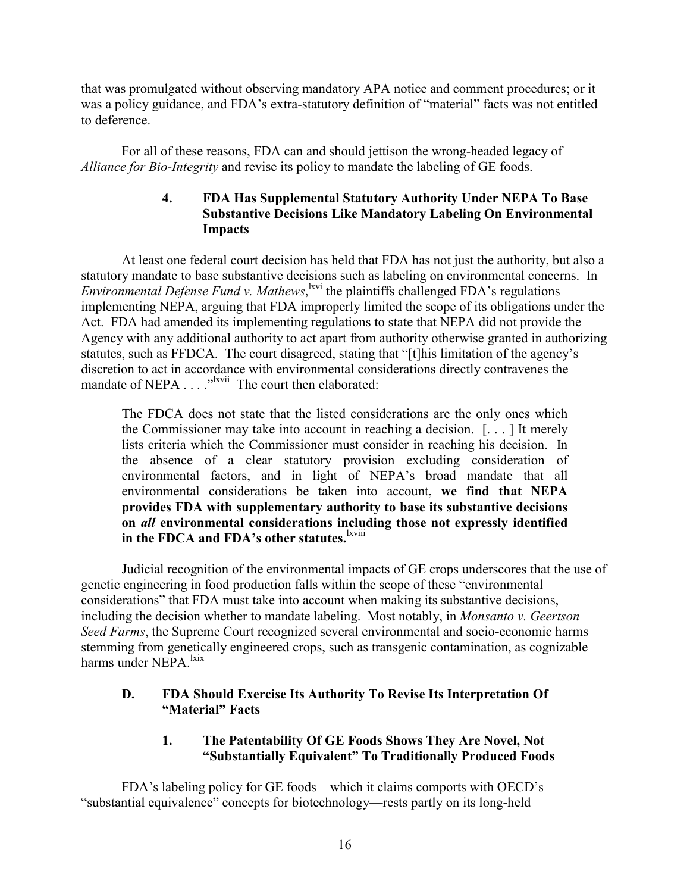that was promulgated without observing mandatory APA notice and comment procedures; or it was a policy guidance, and FDA's extra-statutory definition of "material" facts was not entitled to deference.

For all of these reasons, FDA can and should jettison the wrong-headed legacy of *Alliance for Bio-Integrity* and revise its policy to mandate the labeling of GE foods.

### **4. FDA Has Supplemental Statutory Authority Under NEPA To Base Substantive Decisions Like Mandatory Labeling On Environmental Impacts**

At least one federal court decision has held that FDA has not just the authority, but also a statutory mandate to base substantive decisions such as labeling on environmental concerns. In *Environmental Defense Fund v. Mathews*, <sup>kvi</sup> the plaintiffs challenged FDA's regulations implementing NEPA, arguing that FDA improperly limited the scope of its obligations under the Act. FDA had amended its implementing regulations to state that NEPA did not provide the Agency with any additional authority to act apart from authority otherwise granted in authorizing statutes, such as FFDCA. The court disagreed, stating that "[t]his limitation of the agency's discretion to act in accordance with environmental considerations directly contravenes the mandate of NEPA . . . . "<sup>lxvii</sup> The court then elaborated:

The FDCA does not state that the listed considerations are the only ones which the Commissioner may take into account in reaching a decision. [. . . ] It merely lists criteria which the Commissioner must consider in reaching his decision. In the absence of a clear statutory provision excluding consideration of environmental factors, and in light of NEPA's broad mandate that all environmental considerations be taken into account, **we find that NEPA provides FDA with supplementary authority to base its substantive decisions on** *all* **environmental considerations including those not expressly identified**  in the FDCA and FDA's other statutes.<sup>lxviii</sup>

Judicial recognition of the environmental impacts of GE crops underscores that the use of genetic engineering in food production falls within the scope of these "environmental considerations" that FDA must take into account when making its substantive decisions, including the decision whether to mandate labeling. Most notably, in *Monsanto v. Geertson Seed Farms*, the Supreme Court recognized several environmental and socio-economic harms stemming from genetically engineered crops, such as transgenic contamination, as cognizable harms under NEPA.<sup>lxix</sup>

### **D. FDA Should Exercise Its Authority To Revise Its Interpretation Of "Material" Facts**

## **1. The Patentability Of GE Foods Shows They Are Novel, Not "Substantially Equivalent" To Traditionally Produced Foods**

 FDA's labeling policy for GE foods—which it claims comports with OECD's "substantial equivalence" concepts for biotechnology—rests partly on its long-held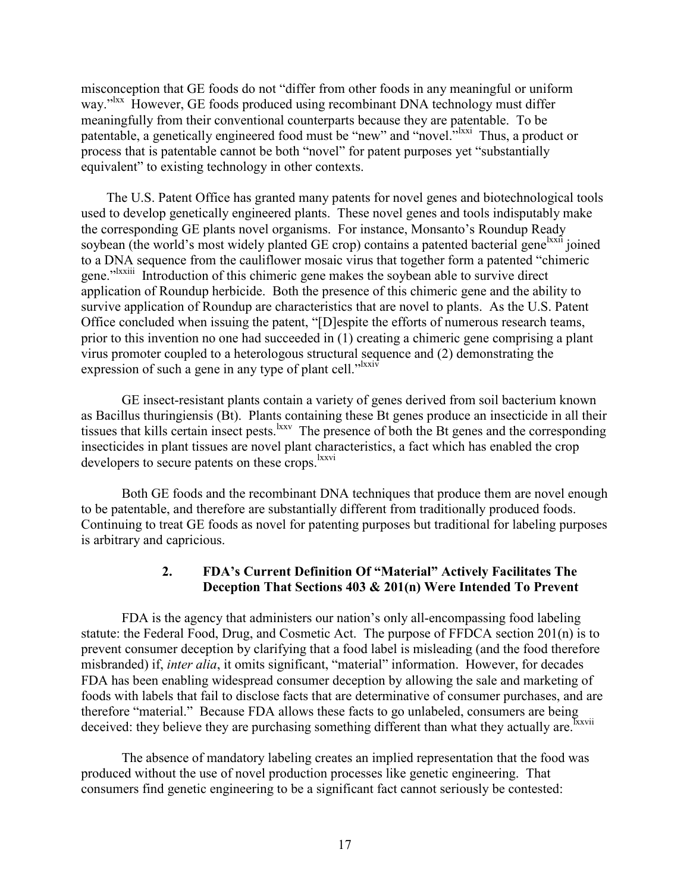misconception that GE foods do not "differ from other foods in any meaningful or uniform way."<sup>Ixx</sup> However, GE foods produced using recombinant DNA technology must differ meaningfully from their conventional counterparts because they are patentable. To be patentable, a genetically engineered food must be "new" and "novel."<sup>Ixxi</sup> Thus, a product or process that is patentable cannot be both "novel" for patent purposes yet "substantially equivalent" to existing technology in other contexts.

 The U.S. Patent Office has granted many patents for novel genes and biotechnological tools used to develop genetically engineered plants. These novel genes and tools indisputably make the corresponding GE plants novel organisms. For instance, Monsanto's Roundup Ready soybean (the world's most widely planted GE crop) contains a patented bacterial gene<sup>lxxii</sup> joined to a DNA sequence from the cauliflower mosaic virus that together form a patented "chimeric gene."<sup>Ixxiii</sup> Introduction of this chimeric gene makes the soybean able to survive direct application of Roundup herbicide. Both the presence of this chimeric gene and the ability to survive application of Roundup are characteristics that are novel to plants. As the U.S. Patent Office concluded when issuing the patent, "[D]espite the efforts of numerous research teams, prior to this invention no one had succeeded in (1) creating a chimeric gene comprising a plant virus promoter coupled to a heterologous structural sequence and (2) demonstrating the expression of such a gene in any type of plant cell." $\frac{d}{dx}$ 

GE insect-resistant plants contain a variety of genes derived from soil bacterium known as Bacillus thuringiensis (Bt). Plants containing these Bt genes produce an insecticide in all their tissues that kills certain insect pests.<sup>lxxv</sup> The presence of both the Bt genes and the corresponding insecticides in plant tissues are novel plant characteristics, a fact which has enabled the crop developers to secure patents on these crops.<sup>lxxvi</sup>

Both GE foods and the recombinant DNA techniques that produce them are novel enough to be patentable, and therefore are substantially different from traditionally produced foods. Continuing to treat GE foods as novel for patenting purposes but traditional for labeling purposes is arbitrary and capricious.

### **2. FDA's Current Definition Of "Material" Actively Facilitates The Deception That Sections 403 & 201(n) Were Intended To Prevent**

FDA is the agency that administers our nation's only all-encompassing food labeling statute: the Federal Food, Drug, and Cosmetic Act. The purpose of FFDCA section 201(n) is to prevent consumer deception by clarifying that a food label is misleading (and the food therefore misbranded) if, *inter alia*, it omits significant, "material" information. However, for decades FDA has been enabling widespread consumer deception by allowing the sale and marketing of foods with labels that fail to disclose facts that are determinative of consumer purchases, and are therefore "material." Because FDA allows these facts to go unlabeled, consumers are being deceived: they believe they are purchasing something different than what they actually are.<sup>Ixxvii</sup>

The absence of mandatory labeling creates an implied representation that the food was produced without the use of novel production processes like genetic engineering. That consumers find genetic engineering to be a significant fact cannot seriously be contested: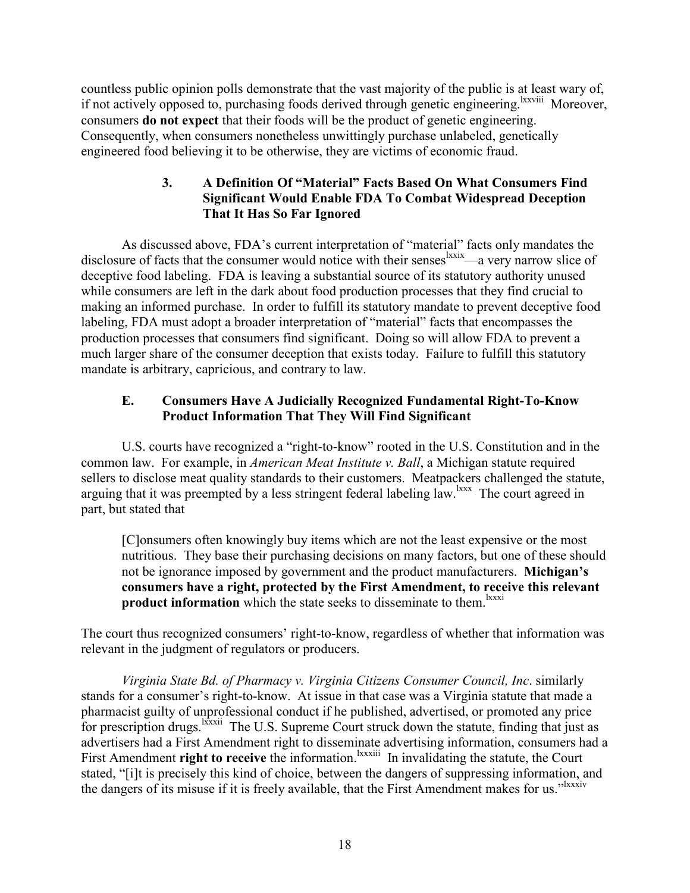countless public opinion polls demonstrate that the vast majority of the public is at least wary of, if not actively opposed to, purchasing foods derived through genetic engineering.<sup>lxxviii</sup> Moreover, consumers **do not expect** that their foods will be the product of genetic engineering. Consequently, when consumers nonetheless unwittingly purchase unlabeled, genetically engineered food believing it to be otherwise, they are victims of economic fraud.

## **3. A Definition Of "Material" Facts Based On What Consumers Find Significant Would Enable FDA To Combat Widespread Deception That It Has So Far Ignored**

As discussed above, FDA's current interpretation of "material" facts only mandates the disclosure of facts that the consumer would notice with their senses <sup>lxxix</sup>—a very narrow slice of deceptive food labeling. FDA is leaving a substantial source of its statutory authority unused while consumers are left in the dark about food production processes that they find crucial to making an informed purchase. In order to fulfill its statutory mandate to prevent deceptive food labeling, FDA must adopt a broader interpretation of "material" facts that encompasses the production processes that consumers find significant. Doing so will allow FDA to prevent a much larger share of the consumer deception that exists today. Failure to fulfill this statutory mandate is arbitrary, capricious, and contrary to law.

## **E. Consumers Have A Judicially Recognized Fundamental Right-To-Know Product Information That They Will Find Significant**

U.S. courts have recognized a "right-to-know" rooted in the U.S. Constitution and in the common law. For example, in *American Meat Institute v. Ball*, a Michigan statute required sellers to disclose meat quality standards to their customers. Meatpackers challenged the statute, arguing that it was preempted by a less stringent federal labeling law.<sup>1xxx</sup> The court agreed in part, but stated that

[C]onsumers often knowingly buy items which are not the least expensive or the most nutritious. They base their purchasing decisions on many factors, but one of these should not be ignorance imposed by government and the product manufacturers. **Michigan's consumers have a right, protected by the First Amendment, to receive this relevant product information** which the state seeks to disseminate to them.<sup>lxxxi</sup>

The court thus recognized consumers' right-to-know, regardless of whether that information was relevant in the judgment of regulators or producers.

*Virginia State Bd. of Pharmacy v. Virginia Citizens Consumer Council, Inc*. similarly stands for a consumer's right-to-know. At issue in that case was a Virginia statute that made a pharmacist guilty of unprofessional conduct if he published, advertised, or promoted any price for prescription drugs.<sup>lxxxii</sup> The U.S. Supreme Court struck down the statute, finding that just as advertisers had a First Amendment right to disseminate advertising information, consumers had a First Amendment **right to receive** the information.<sup>Ixxxiii</sup> In invalidating the statute, the Court stated, "[i]t is precisely this kind of choice, between the dangers of suppressing information, and the dangers of its misuse if it is freely available, that the First Amendment makes for us."<sup>IXXXIV</sup>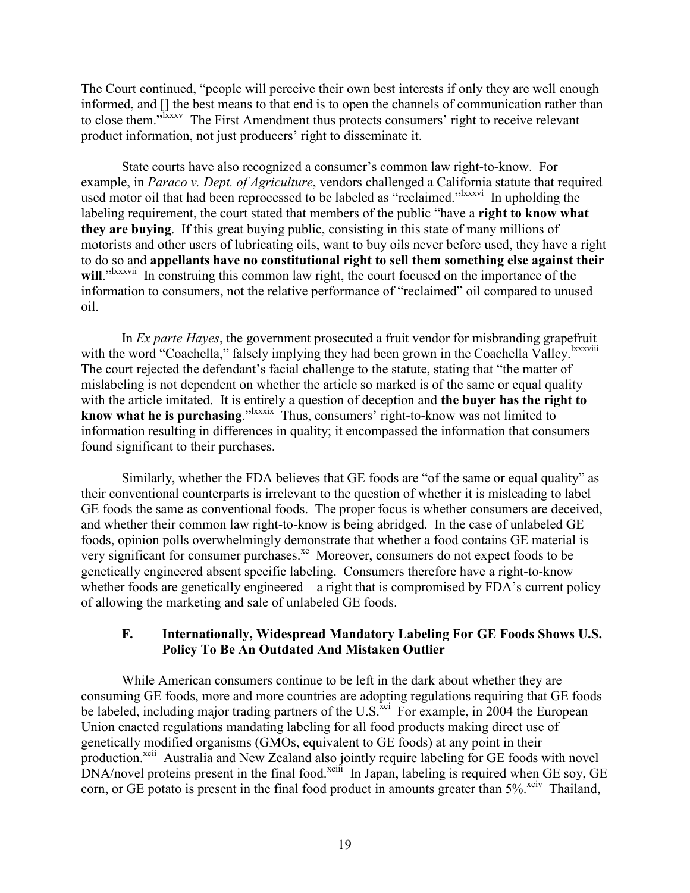The Court continued, "people will perceive their own best interests if only they are well enough informed, and [] the best means to that end is to open the channels of communication rather than to close them."<sup>Jxxxv</sup> The First Amendment thus protects consumers' right to receive relevant product information, not just producers' right to disseminate it.

State courts have also recognized a consumer's common law right-to-know. For example, in *Paraco v. Dept. of Agriculture*, vendors challenged a California statute that required used motor oil that had been reprocessed to be labeled as "reclaimed."<sup>Ixxxvi</sup> In upholding the labeling requirement, the court stated that members of the public "have a **right to know what they are buying**. If this great buying public, consisting in this state of many millions of motorists and other users of lubricating oils, want to buy oils never before used, they have a right to do so and **appellants have no constitutional right to sell them something else against their**  will.<sup>"Ixxxvii</sup> In construing this common law right, the court focused on the importance of the information to consumers, not the relative performance of "reclaimed" oil compared to unused oil.

In *Ex parte Hayes*, the government prosecuted a fruit vendor for misbranding grapefruit with the word "Coachella," falsely implying they had been grown in the Coachella Valley. IXXXVIII The court rejected the defendant's facial challenge to the statute, stating that "the matter of mislabeling is not dependent on whether the article so marked is of the same or equal quality with the article imitated. It is entirely a question of deception and **the buyer has the right to know what he is purchasing.**"<sup>lxxxix</sup> Thus, consumers' right-to-know was not limited to information resulting in differences in quality; it encompassed the information that consumers found significant to their purchases.

Similarly, whether the FDA believes that GE foods are "of the same or equal quality" as their conventional counterparts is irrelevant to the question of whether it is misleading to label GE foods the same as conventional foods. The proper focus is whether consumers are deceived, and whether their common law right-to-know is being abridged. In the case of unlabeled GE foods, opinion polls overwhelmingly demonstrate that whether a food contains GE material is very significant for consumer purchases.<sup>xc</sup> Moreover, consumers do not expect foods to be genetically engineered absent specific labeling. Consumers therefore have a right-to-know whether foods are genetically engineered—a right that is compromised by FDA's current policy of allowing the marketing and sale of unlabeled GE foods.

### **F. Internationally, Widespread Mandatory Labeling For GE Foods Shows U.S. Policy To Be An Outdated And Mistaken Outlier**

While American consumers continue to be left in the dark about whether they are consuming GE foods, more and more countries are adopting regulations requiring that GE foods be labeled, including major trading partners of the U.S.<sup>xci</sup> For example, in 2004 the European Union enacted regulations mandating labeling for all food products making direct use of genetically modified organisms (GMOs, equivalent to GE foods) at any point in their production.<sup>xcii</sup> Australia and New Zealand also jointly require labeling for GE foods with novel DNA/novel proteins present in the final food.<sup>xciii</sup> In Japan, labeling is required when GE soy, GE corn, or GE potato is present in the final food product in amounts greater than  $5\%$ <sup>xciv</sup> Thailand,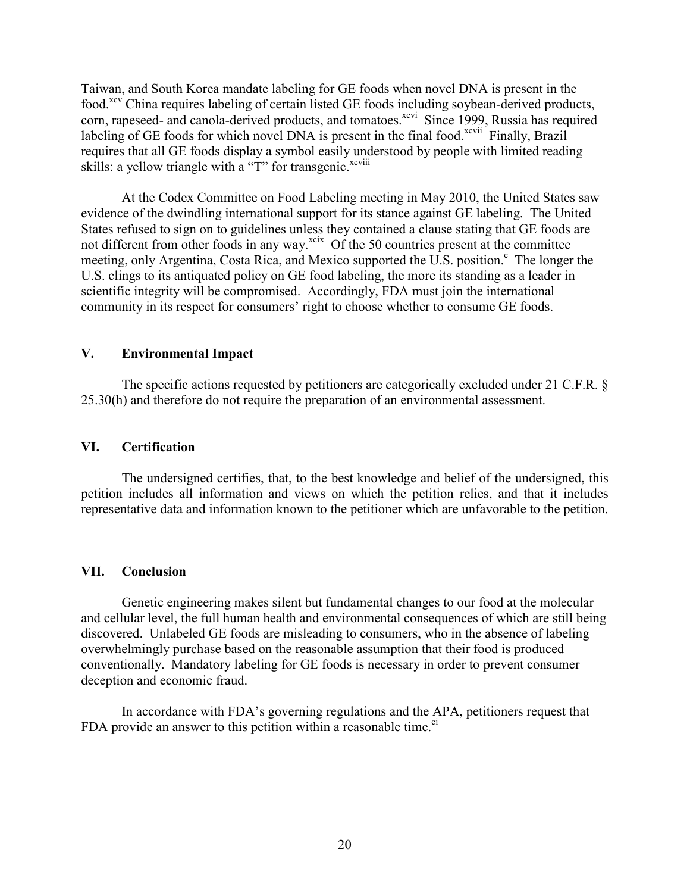Taiwan, and South Korea mandate labeling for GE foods when novel DNA is present in the food.<sup>xcv</sup> China requires labeling of certain listed GE foods including soybean-derived products, corn, rapeseed- and canola-derived products, and tomatoes.<sup>xcvi</sup> Since 1999, Russia has required labeling of GE foods for which novel DNA is present in the final food.<sup>xcvii</sup> Finally, Brazil requires that all GE foods display a symbol easily understood by people with limited reading skills: a yellow triangle with a "T" for transgenic.<sup>xcviii</sup>

At the Codex Committee on Food Labeling meeting in May 2010, the United States saw evidence of the dwindling international support for its stance against GE labeling. The United States refused to sign on to guidelines unless they contained a clause stating that GE foods are not different from other foods in any way. $x$ <sup>cix</sup> Of the 50 countries present at the committee meeting, only Argentina, Costa Rica, and Mexico supported the U.S. position.<sup>c</sup> The longer the U.S. clings to its antiquated policy on GE food labeling, the more its standing as a leader in scientific integrity will be compromised. Accordingly, FDA must join the international community in its respect for consumers' right to choose whether to consume GE foods.

#### **V. Environmental Impact**

The specific actions requested by petitioners are categorically excluded under 21 C.F.R. § 25.30(h) and therefore do not require the preparation of an environmental assessment.

#### **VI. Certification**

The undersigned certifies, that, to the best knowledge and belief of the undersigned, this petition includes all information and views on which the petition relies, and that it includes representative data and information known to the petitioner which are unfavorable to the petition.

#### **VII. Conclusion**

Genetic engineering makes silent but fundamental changes to our food at the molecular and cellular level, the full human health and environmental consequences of which are still being discovered. Unlabeled GE foods are misleading to consumers, who in the absence of labeling overwhelmingly purchase based on the reasonable assumption that their food is produced conventionally. Mandatory labeling for GE foods is necessary in order to prevent consumer deception and economic fraud.

In accordance with FDA's governing regulations and the APA, petitioners request that FDA provide an answer to this petition within a reasonable time. $\degree$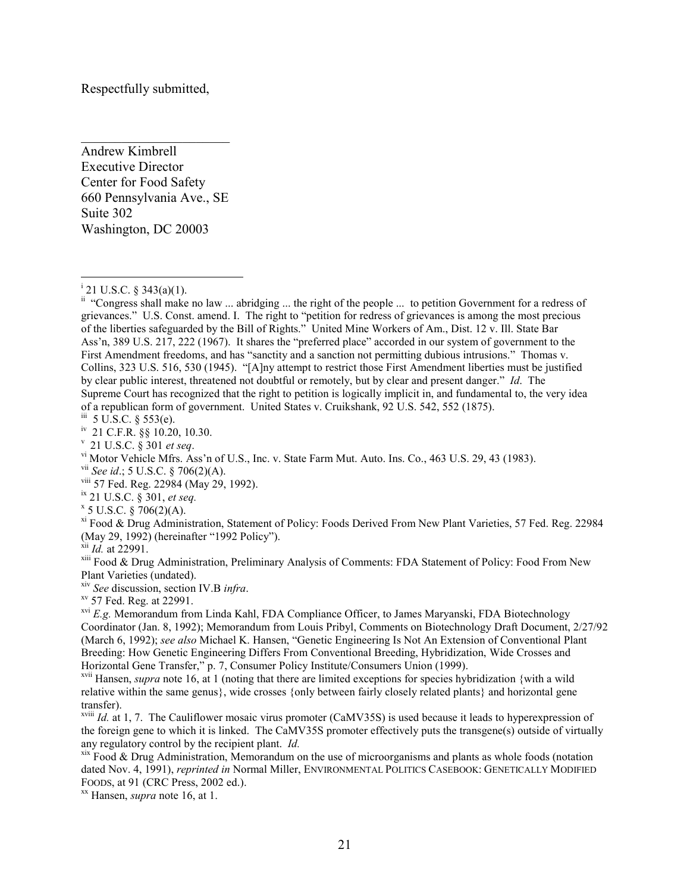Respectfully submitted,

Andrew Kimbrell Executive Director Center for Food Safety 660 Pennsylvania Ave., SE Suite 302 Washington, DC 20003

 $\overline{\phantom{a}}$  , and the set of the set of the set of the set of the set of the set of the set of the set of the set of the set of the set of the set of the set of the set of the set of the set of the set of the set of the s

l

vii *See id*.; 5 U.S.C. § 706(2)(A).

viii 57 Fed. Reg. 22984 (May 29, 1992).

ix 21 U.S.C. § 301, *et seq.*

 $x \cdot 5$  U.S.C. § 706(2)(A).

xi Food & Drug Administration, Statement of Policy: Foods Derived From New Plant Varieties, 57 Fed. Reg. 22984 (May 29, 1992) (hereinafter "1992 Policy").

xii *Id.* at 22991.

xiii Food & Drug Administration, Preliminary Analysis of Comments: FDA Statement of Policy: Food From New Plant Varieties (undated).

xiv *See* discussion, section IV.B *infra*.

 $xv$  57 Fed. Reg. at 22991.

<sup>xvi</sup> *E.g.* Memorandum from Linda Kahl, FDA Compliance Officer, to James Maryanski, FDA Biotechnology Coordinator (Jan. 8, 1992); Memorandum from Louis Pribyl, Comments on Biotechnology Draft Document, 2/27/92 (March 6, 1992); *see also* Michael K. Hansen, "Genetic Engineering Is Not An Extension of Conventional Plant Breeding: How Genetic Engineering Differs From Conventional Breeding, Hybridization, Wide Crosses and Horizontal Gene Transfer," p. 7, Consumer Policy Institute/Consumers Union (1999).

xvii Hansen, *supra* note 16, at 1 (noting that there are limited exceptions for species hybridization {with a wild relative within the same genus}, wide crosses {only between fairly closely related plants} and horizontal gene transfer).

xviii *Id.* at 1, 7. The Cauliflower mosaic virus promoter (CaMV35S) is used because it leads to hyperexpression of the foreign gene to which it is linked. The CaMV35S promoter effectively puts the transgene(s) outside of virtually any regulatory control by the recipient plant. *Id.* 

xix Food & Drug Administration, Memorandum on the use of microorganisms and plants as whole foods (notation dated Nov. 4, 1991), *reprinted in* Normal Miller, ENVIRONMENTAL POLITICS CASEBOOK: GENETICALLY MODIFIED FOODS, at 91 (CRC Press, 2002 ed.).

xx Hansen, *supra* note 16, at 1.

<sup>&</sup>lt;sup>i</sup> 21 U.S.C. § 343(a)(1).

ii "Congress shall make no law ... abridging ... the right of the people ... to petition Government for a redress of grievances." U.S. Const. amend. I. The right to "petition for redress of grievances is among the most precious of the liberties safeguarded by the Bill of Rights." United Mine Workers of Am., Dist. 12 v. Ill. State Bar Ass'n, 389 U.S. 217, 222 (1967). It shares the "preferred place" accorded in our system of government to the First Amendment freedoms, and has "sanctity and a sanction not permitting dubious intrusions." Thomas v. Collins, 323 U.S. 516, 530 (1945). "[A]ny attempt to restrict those First Amendment liberties must be justified by clear public interest, threatened not doubtful or remotely, but by clear and present danger." *Id*. The Supreme Court has recognized that the right to petition is logically implicit in, and fundamental to, the very idea of a republican form of government. United States v. Cruikshank, 92 U.S. 542, 552 (1875).

iii 5 U.S.C. § 553(e).

iv 21 C.F.R. §§ 10.20, 10.30.

v 21 U.S.C. § 301 *et seq*.

vi Motor Vehicle Mfrs. Ass'n of U.S., Inc. v. State Farm Mut. Auto. Ins. Co., 463 U.S. 29, 43 (1983).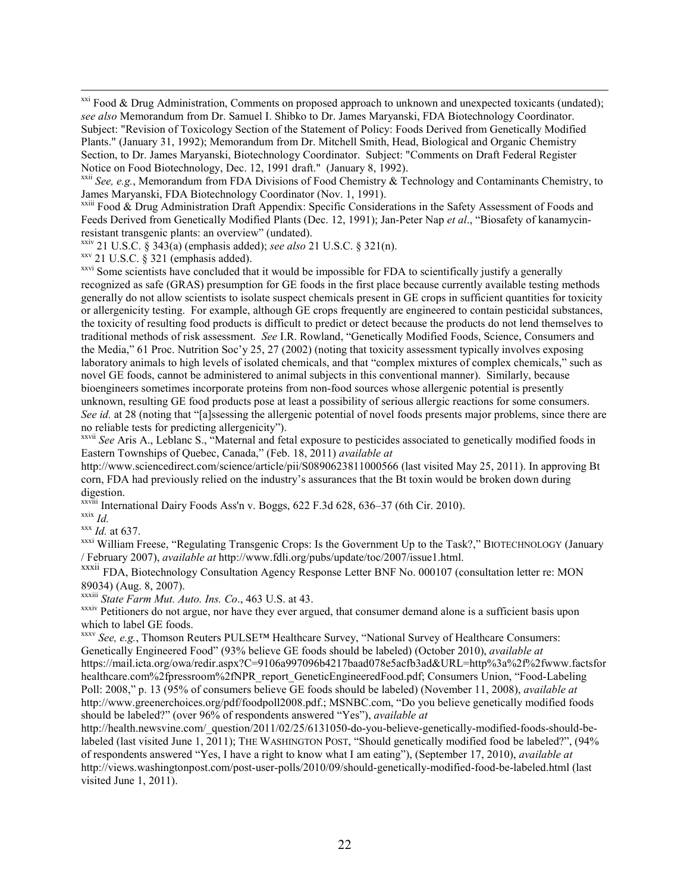$\overline{a}$ <sup>xxi</sup> Food & Drug Administration, Comments on proposed approach to unknown and unexpected toxicants (undated); *see also* Memorandum from Dr. Samuel I. Shibko to Dr. James Maryanski, FDA Biotechnology Coordinator. Subject: "Revision of Toxicology Section of the Statement of Policy: Foods Derived from Genetically Modified Plants." (January 31, 1992); Memorandum from Dr. Mitchell Smith, Head, Biological and Organic Chemistry Section, to Dr. James Maryanski, Biotechnology Coordinator. Subject: "Comments on Draft Federal Register Notice on Food Biotechnology, Dec. 12, 1991 draft." (January 8, 1992).

xxiv 21 U.S.C. § 343(a) (emphasis added); *see also* 21 U.S.C. § 321(n).

 $xxy$  21 U.S.C. § 321 (emphasis added).

<sup>xxvi</sup> Some scientists have concluded that it would be impossible for FDA to scientifically justify a generally recognized as safe (GRAS) presumption for GE foods in the first place because currently available testing methods generally do not allow scientists to isolate suspect chemicals present in GE crops in sufficient quantities for toxicity or allergenicity testing. For example, although GE crops frequently are engineered to contain pesticidal substances, the toxicity of resulting food products is difficult to predict or detect because the products do not lend themselves to traditional methods of risk assessment. *See* I.R. Rowland, "Genetically Modified Foods, Science, Consumers and the Media," 61 Proc. Nutrition Soc'y 25, 27 (2002) (noting that toxicity assessment typically involves exposing laboratory animals to high levels of isolated chemicals, and that "complex mixtures of complex chemicals," such as novel GE foods, cannot be administered to animal subjects in this conventional manner). Similarly, because bioengineers sometimes incorporate proteins from non-food sources whose allergenic potential is presently unknown, resulting GE food products pose at least a possibility of serious allergic reactions for some consumers. *See id.* at 28 (noting that "[a]ssessing the allergenic potential of novel foods presents major problems, since there are no reliable tests for predicting allergenicity").

xxvii *See* Aris A., Leblanc S., "Maternal and fetal exposure to pesticides associated to genetically modified foods in Eastern Townships of Quebec, Canada," (Feb. 18, 2011) *available at*

http://www.sciencedirect.com/science/article/pii/S0890623811000566 (last visited May 25, 2011). In approving Bt corn, FDA had previously relied on the industry's assurances that the Bt toxin would be broken down during digestion.

xxviii International Dairy Foods Ass'n v. Boggs, 622 F.3d 628, 636–37 (6th Cir. 2010).

 $\frac{xxix}{Id}$ .

xxx *Id.* at 637.

xxxi William Freese, "Regulating Transgenic Crops: Is the Government Up to the Task?," BIOTECHNOLOGY (January / February 2007), *available at* http://www.fdli.org/pubs/update/toc/2007/issue1.html.

xxxii FDA, Biotechnology Consultation Agency Response Letter BNF No. 000107 (consultation letter re: MON 89034) (Aug. 8, 2007).

xxxiii *State Farm Mut. Auto. Ins. Co*., 463 U.S. at 43.

xxxiv Petitioners do not argue, nor have they ever argued, that consumer demand alone is a sufficient basis upon which to label GE foods.

xxxv *See, e.g.*, Thomson Reuters PULSE™ Healthcare Survey, "National Survey of Healthcare Consumers: Genetically Engineered Food" (93% believe GE foods should be labeled) (October 2010), *available at* https://mail.icta.org/owa/redir.aspx?C=9106a997096b4217baad078e5acfb3ad&URL=http%3a%2f%2fwww.factsfor healthcare.com%2fpressroom%2fNPR\_report\_GeneticEngineeredFood.pdf; Consumers Union, "Food-Labeling Poll: 2008," p. 13 (95% of consumers believe GE foods should be labeled) (November 11, 2008), *available at* http://www.greenerchoices.org/pdf/foodpoll2008.pdf.; MSNBC.com, "Do you believe genetically modified foods should be labeled?" (over 96% of respondents answered "Yes"), *available at*

http://health.newsvine.com/\_question/2011/02/25/6131050-do-you-believe-genetically-modified-foods-should-belabeled (last visited June 1, 2011); THE WASHINGTON POST, "Should genetically modified food be labeled?", (94% of respondents answered "Yes, I have a right to know what I am eating"), (September 17, 2010), *available at* http://views.washingtonpost.com/post-user-polls/2010/09/should-genetically-modified-food-be-labeled.html (last visited June 1, 2011).

xxii *See, e.g.*, Memorandum from FDA Divisions of Food Chemistry & Technology and Contaminants Chemistry, to James Maryanski, FDA Biotechnology Coordinator (Nov. 1, 1991).

xxiii Food & Drug Administration Draft Appendix: Specific Considerations in the Safety Assessment of Foods and Feeds Derived from Genetically Modified Plants (Dec. 12, 1991); Jan-Peter Nap *et al*., "Biosafety of kanamycinresistant transgenic plants: an overview" (undated).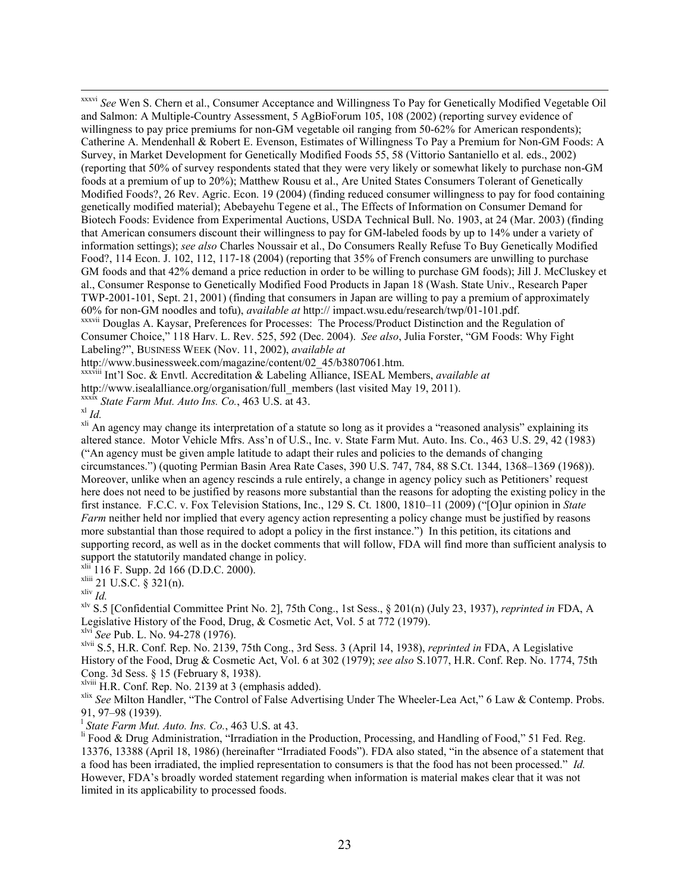$\overline{a}$ xxxvi *See* Wen S. Chern et al., Consumer Acceptance and Willingness To Pay for Genetically Modified Vegetable Oil and Salmon: A Multiple-Country Assessment, 5 AgBioForum 105, 108 (2002) (reporting survey evidence of willingness to pay price premiums for non-GM vegetable oil ranging from 50-62% for American respondents); Catherine A. Mendenhall & Robert E. Evenson, Estimates of Willingness To Pay a Premium for Non-GM Foods: A Survey, in Market Development for Genetically Modified Foods 55, 58 (Vittorio Santaniello et al. eds., 2002) (reporting that 50% of survey respondents stated that they were very likely or somewhat likely to purchase non-GM foods at a premium of up to 20%); Matthew Rousu et al., Are United States Consumers Tolerant of Genetically Modified Foods?, 26 Rev. Agric. Econ. 19 (2004) (finding reduced consumer willingness to pay for food containing genetically modified material); Abebayehu Tegene et al., The Effects of Information on Consumer Demand for Biotech Foods: Evidence from Experimental Auctions, USDA Technical Bull. No. 1903, at 24 (Mar. 2003) (finding that American consumers discount their willingness to pay for GM-labeled foods by up to 14% under a variety of information settings); *see also* Charles Noussair et al., Do Consumers Really Refuse To Buy Genetically Modified Food?, 114 Econ. J. 102, 112, 117-18 (2004) (reporting that 35% of French consumers are unwilling to purchase GM foods and that 42% demand a price reduction in order to be willing to purchase GM foods); Jill J. McCluskey et al., Consumer Response to Genetically Modified Food Products in Japan 18 (Wash. State Univ., Research Paper TWP-2001-101, Sept. 21, 2001) (finding that consumers in Japan are willing to pay a premium of approximately 60% for non-GM noodles and tofu), *available at* http:// impact.wsu.edu/research/twp/01-101.pdf.

xxxvii Douglas A. Kaysar, Preferences for Processes: The Process/Product Distinction and the Regulation of Consumer Choice," 118 Harv. L. Rev. 525, 592 (Dec. 2004). *See also*, Julia Forster, "GM Foods: Why Fight Labeling?", BUSINESS WEEK (Nov. 11, 2002), *available at*

http://www.businessweek.com/magazine/content/02\_45/b3807061.htm.

xxxviii Int'l Soc. & Envtl. Accreditation & Labeling Alliance, ISEAL Members, *available at*

http://www.isealalliance.org/organisation/full\_members (last visited May 19, 2011).

xxxix *State Farm Mut. Auto Ins. Co.*, 463 U.S. at 43.

 $x^{\mathrm{l}}$  *Id.* 

<sup>xli</sup> An agency may change its interpretation of a statute so long as it provides a "reasoned analysis" explaining its altered stance. Motor Vehicle Mfrs. Ass'n of U.S., Inc. v. State Farm Mut. Auto. Ins. Co., 463 U.S. 29, 42 (1983) ("An agency must be given ample latitude to adapt their rules and policies to the demands of changing circumstances.") (quoting Permian Basin Area Rate Cases, 390 U.S. 747, 784, 88 S.Ct. 1344, 1368–1369 (1968)). Moreover, unlike when an agency rescinds a rule entirely, a change in agency policy such as Petitioners' request here does not need to be justified by reasons more substantial than the reasons for adopting the existing policy in the first instance. F.C.C. v. Fox Television Stations, Inc., 129 S. Ct. 1800, 1810–11 (2009) ("[O]ur opinion in *State Farm* neither held nor implied that every agency action representing a policy change must be justified by reasons more substantial than those required to adopt a policy in the first instance.") In this petition, its citations and supporting record, as well as in the docket comments that will follow, FDA will find more than sufficient analysis to support the statutorily mandated change in policy.

 $x^{lin}$  116 F. Supp. 2d 166 (D.D.C. 2000).

 $x^{\text{liii}}$  21 U.S.C. § 321(n).

xliv *Id.*

xlv S.5 [Confidential Committee Print No. 2], 75th Cong., 1st Sess., § 201(n) (July 23, 1937), *reprinted in* FDA, A Legislative History of the Food, Drug, & Cosmetic Act, Vol. 5 at 772 (1979).

xlvi *See* Pub. L. No. 94-278 (1976).

xlvii S.5, H.R. Conf. Rep. No. 2139, 75th Cong., 3rd Sess. 3 (April 14, 1938), *reprinted in* FDA, A Legislative History of the Food, Drug & Cosmetic Act, Vol. 6 at 302 (1979); *see also* S.1077, H.R. Conf. Rep. No. 1774, 75th Cong. 3d Sess. § 15 (February 8, 1938).

xlviii H.R. Conf. Rep. No. 2139 at 3 (emphasis added).

xlix *See* Milton Handler, "The Control of False Advertising Under The Wheeler-Lea Act," 6 Law & Contemp. Probs. 91, 97–98 (1939).

l *State Farm Mut. Auto. Ins. Co.*, 463 U.S. at 43.

<sup>li</sup> Food & Drug Administration, "Irradiation in the Production, Processing, and Handling of Food," 51 Fed. Reg. 13376, 13388 (April 18, 1986) (hereinafter "Irradiated Foods"). FDA also stated, "in the absence of a statement that a food has been irradiated, the implied representation to consumers is that the food has not been processed." *Id.* However, FDA's broadly worded statement regarding when information is material makes clear that it was not limited in its applicability to processed foods.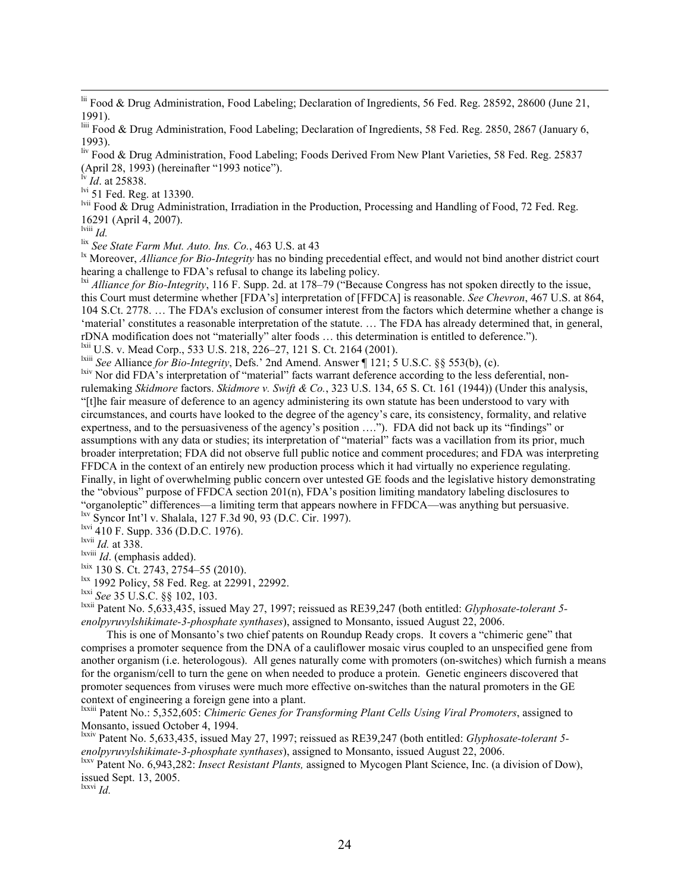$\overline{a}$ lii Food & Drug Administration, Food Labeling; Declaration of Ingredients, 56 Fed. Reg. 28592, 28600 (June 21, 1991).

liii Food & Drug Administration, Food Labeling; Declaration of Ingredients, 58 Fed. Reg. 2850, 2867 (January 6, 1993).

liv Food & Drug Administration, Food Labeling; Foods Derived From New Plant Varieties, 58 Fed. Reg. 25837 (April 28, 1993) (hereinafter "1993 notice").

 $\overline{Id}$ . at 25838.

<sup>lvi</sup> 51 Fed. Reg. at 13390.

lvii Food & Drug Administration, Irradiation in the Production, Processing and Handling of Food, 72 Fed. Reg. 16291 (April 4, 2007).

lviii *Id.*

lix *See State Farm Mut. Auto. Ins. Co.*, 463 U.S. at 43

<sup>1x</sup> Moreover, *Alliance for Bio-Integrity* has no binding precedential effect, and would not bind another district court hearing a challenge to FDA's refusal to change its labeling policy.

lxi *Alliance for Bio-Integrity*, 116 F. Supp. 2d. at 178–79 ("Because Congress has not spoken directly to the issue, this Court must determine whether [FDA's] interpretation of [FFDCA] is reasonable. *See Chevron*, 467 U.S. at 864, 104 S.Ct. 2778. … The FDA's exclusion of consumer interest from the factors which determine whether a change is 'material' constitutes a reasonable interpretation of the statute. … The FDA has already determined that, in general, rDNA modification does not "materially" alter foods … this determination is entitled to deference.").

<sup>1xii</sup> U.S. v. Mead Corp., 533 U.S. 218, 226–27, 121 S. Ct. 2164 (2001).

lxiii *See* Alliance *for Bio-Integrity*, Defs.' 2nd Amend. Answer ¶ 121; 5 U.S.C. §§ 553(b), (c).

<sup>lxiv</sup> Nor did FDA's interpretation of "material" facts warrant deference according to the less deferential, nonrulemaking *Skidmore* factors. *Skidmore v. Swift & Co.*, 323 U.S. 134, 65 S. Ct. 161 (1944)) (Under this analysis, "[t]he fair measure of deference to an agency administering its own statute has been understood to vary with circumstances, and courts have looked to the degree of the agency's care, its consistency, formality, and relative expertness, and to the persuasiveness of the agency's position …."). FDA did not back up its "findings" or assumptions with any data or studies; its interpretation of "material" facts was a vacillation from its prior, much broader interpretation; FDA did not observe full public notice and comment procedures; and FDA was interpreting FFDCA in the context of an entirely new production process which it had virtually no experience regulating. Finally, in light of overwhelming public concern over untested GE foods and the legislative history demonstrating the "obvious" purpose of FFDCA section 201(n), FDA's position limiting mandatory labeling disclosures to "organoleptic" differences—a limiting term that appears nowhere in FFDCA—was anything but persuasive. lxv Syncor Int'l v. Shalala, 127 F.3d 90, 93 (D.C. Cir. 1997).

lxvi 410 F. Supp. 336 (D.D.C. 1976).

lxvii *Id.* at 338.

lxviii *Id*. (emphasis added).

 $\frac{\text{lxix}}{130 \text{ S}}$ . Ct. 2743, 2754–55 (2010).

 $\frac{dx}{dx}$  1992 Policy, 58 Fed. Reg. at 22991, 22992.

lxxi *See* 35 U.S.C. §§ 102, 103.

lxxii Patent No. 5,633,435, issued May 27, 1997; reissued as RE39,247 (both entitled: *Glyphosate-tolerant 5 enolpyruvylshikimate-3-phosphate synthases*), assigned to Monsanto, issued August 22, 2006.

 This is one of Monsanto's two chief patents on Roundup Ready crops. It covers a "chimeric gene" that comprises a promoter sequence from the DNA of a cauliflower mosaic virus coupled to an unspecified gene from another organism (i.e. heterologous). All genes naturally come with promoters (on-switches) which furnish a means for the organism/cell to turn the gene on when needed to produce a protein. Genetic engineers discovered that promoter sequences from viruses were much more effective on-switches than the natural promoters in the GE context of engineering a foreign gene into a plant.

lxxiii Patent No.: 5,352,605: *Chimeric Genes for Transforming Plant Cells Using Viral Promoters*, assigned to Monsanto, issued October 4, 1994.

lxxiv Patent No. 5,633,435, issued May 27, 1997; reissued as RE39,247 (both entitled: *Glyphosate-tolerant 5 enolpyruvylshikimate-3-phosphate synthases*), assigned to Monsanto, issued August 22, 2006.

lxxv Patent No. 6,943,282: *Insect Resistant Plants,* assigned to Mycogen Plant Science, Inc. (a division of Dow), issued Sept. 13, 2005.

lxxvi *Id.*